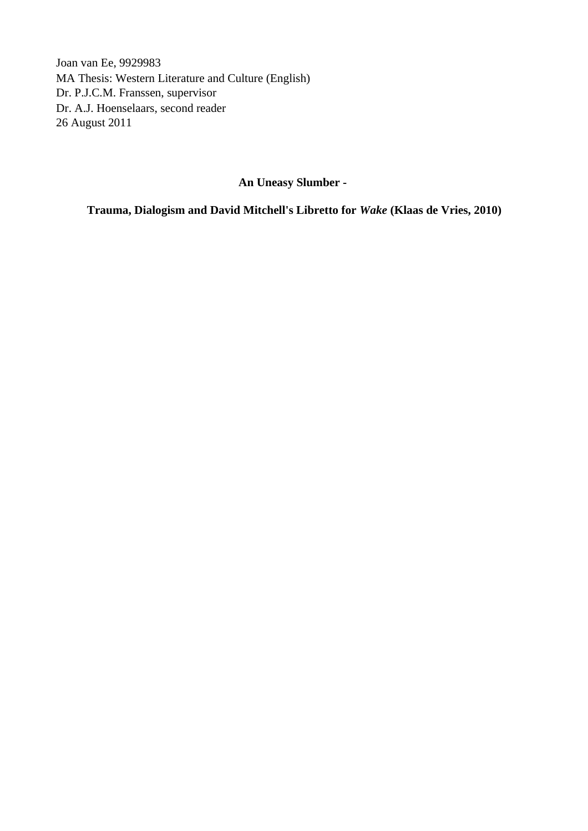Joan van Ee, 9929983 MA Thesis: Western Literature and Culture (English) Dr. P.J.C.M. Franssen, supervisor Dr. A.J. Hoenselaars, second reader 26 August 2011

**An Uneasy Slumber -** 

**Trauma, Dialogism and David Mitchell's Libretto for** *Wake* **(Klaas de Vries, 2010)**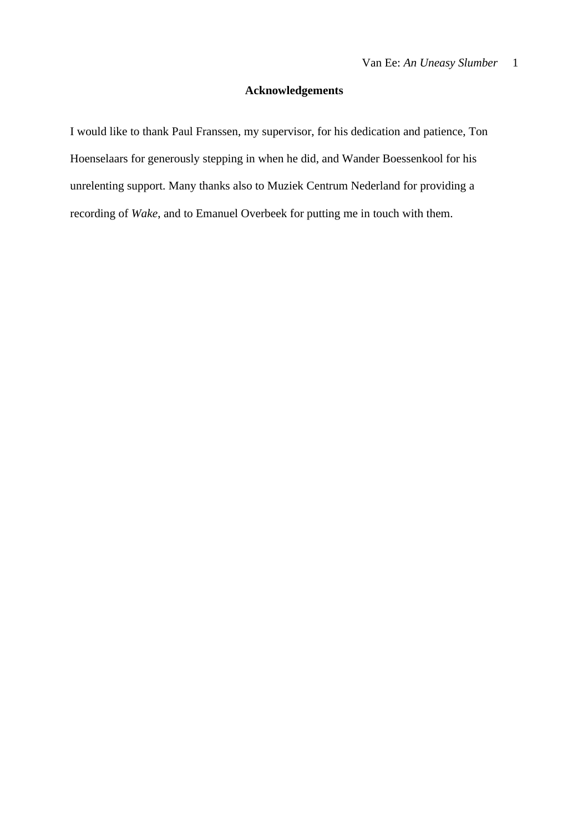# **Acknowledgements**

I would like to thank Paul Franssen, my supervisor, for his dedication and patience, Ton Hoenselaars for generously stepping in when he did, and Wander Boessenkool for his unrelenting support. Many thanks also to Muziek Centrum Nederland for providing a recording of *Wake*, and to Emanuel Overbeek for putting me in touch with them.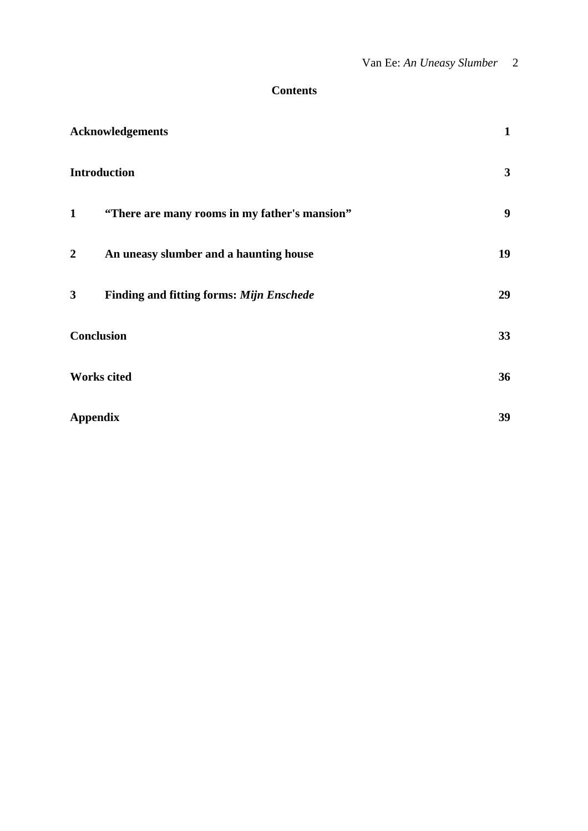## **Contents**

| <b>Acknowledgements</b>                                       | $\mathbf{1}$ |
|---------------------------------------------------------------|--------------|
| <b>Introduction</b>                                           | 3            |
| "There are many rooms in my father's mansion"<br>$\mathbf{1}$ | 9            |
| $\overline{2}$<br>An uneasy slumber and a haunting house      | 19           |
| 3<br><b>Finding and fitting forms: Mijn Enschede</b>          | 29           |
| <b>Conclusion</b>                                             | 33           |
| <b>Works cited</b>                                            | 36           |
| <b>Appendix</b>                                               | 39           |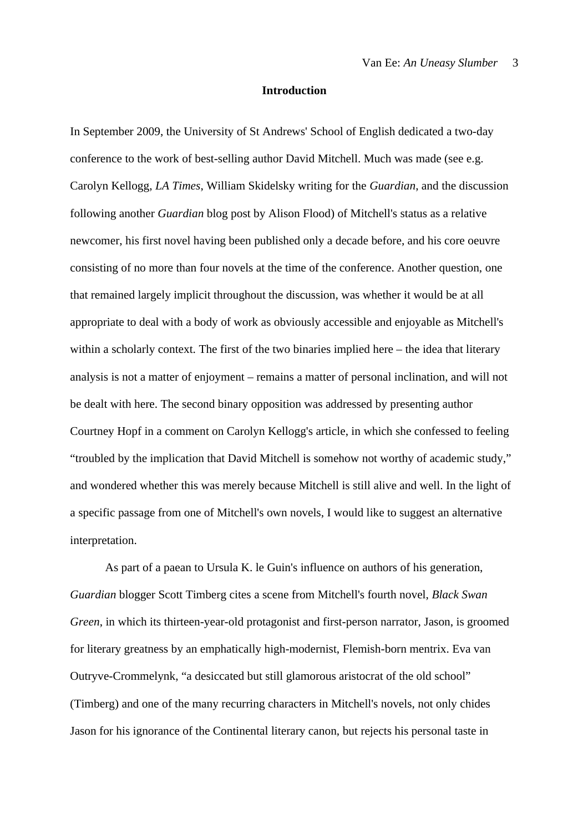#### **Introduction**

In September 2009, the University of St Andrews' School of English dedicated a two-day conference to the work of best-selling author David Mitchell. Much was made (see e.g. Carolyn Kellogg, *LA Times*, William Skidelsky writing for the *Guardian*, and the discussion following another *Guardian* blog post by Alison Flood) of Mitchell's status as a relative newcomer, his first novel having been published only a decade before, and his core oeuvre consisting of no more than four novels at the time of the conference. Another question, one that remained largely implicit throughout the discussion, was whether it would be at all appropriate to deal with a body of work as obviously accessible and enjoyable as Mitchell's within a scholarly context. The first of the two binaries implied here – the idea that literary analysis is not a matter of enjoyment – remains a matter of personal inclination, and will not be dealt with here. The second binary opposition was addressed by presenting author Courtney Hopf in a comment on Carolyn Kellogg's article, in which she confessed to feeling "troubled by the implication that David Mitchell is somehow not worthy of academic study," and wondered whether this was merely because Mitchell is still alive and well. In the light of a specific passage from one of Mitchell's own novels, I would like to suggest an alternative interpretation.

As part of a paean to Ursula K. le Guin's influence on authors of his generation, *Guardian* blogger Scott Timberg cites a scene from Mitchell's fourth novel, *Black Swan Green*, in which its thirteen-year-old protagonist and first-person narrator, Jason, is groomed for literary greatness by an emphatically high-modernist, Flemish-born mentrix. Eva van Outryve-Crommelynk, "a desiccated but still glamorous aristocrat of the old school" (Timberg) and one of the many recurring characters in Mitchell's novels, not only chides Jason for his ignorance of the Continental literary canon, but rejects his personal taste in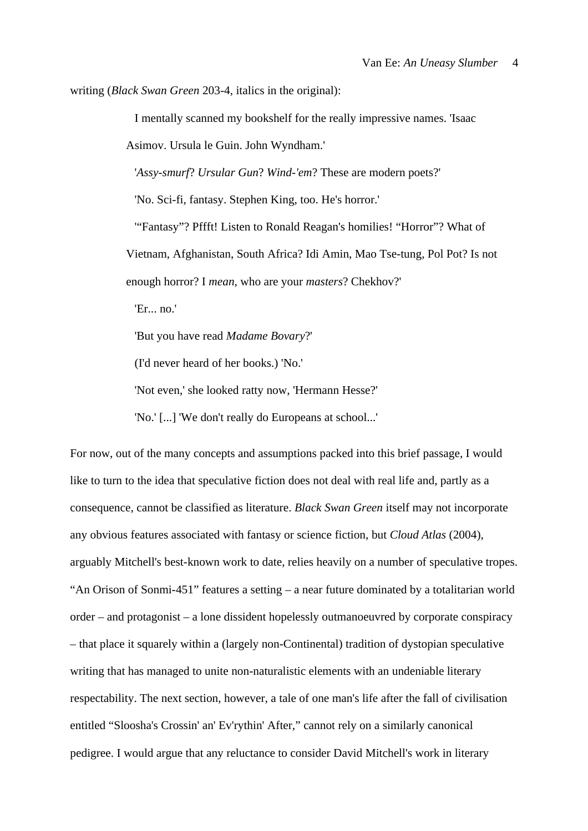writing (*Black Swan Green* 203-4, italics in the original):

I mentally scanned my bookshelf for the really impressive names. 'Isaac

Asimov. Ursula le Guin. John Wyndham.'

'*Assy-smurf*? *Ursular Gun*? *Wind-'em*? These are modern poets?'

'No. Sci-fi, fantasy. Stephen King, too. He's horror.'

'"Fantasy"? Pffft! Listen to Ronald Reagan's homilies! "Horror"? What of Vietnam, Afghanistan, South Africa? Idi Amin, Mao Tse-tung, Pol Pot? Is not enough horror? I *mean*, who are your *masters*? Chekhov?'

'Er... no.'

'But you have read *Madame Bovary*?'

(I'd never heard of her books.) 'No.'

'Not even,' she looked ratty now, 'Hermann Hesse?'

'No.' [...] 'We don't really do Europeans at school...'

For now, out of the many concepts and assumptions packed into this brief passage, I would like to turn to the idea that speculative fiction does not deal with real life and, partly as a consequence, cannot be classified as literature. *Black Swan Green* itself may not incorporate any obvious features associated with fantasy or science fiction, but *Cloud Atlas* (2004), arguably Mitchell's best-known work to date, relies heavily on a number of speculative tropes. "An Orison of Sonmi-451" features a setting – a near future dominated by a totalitarian world order – and protagonist – a lone dissident hopelessly outmanoeuvred by corporate conspiracy – that place it squarely within a (largely non-Continental) tradition of dystopian speculative writing that has managed to unite non-naturalistic elements with an undeniable literary respectability. The next section, however, a tale of one man's life after the fall of civilisation entitled "Sloosha's Crossin' an' Ev'rythin' After," cannot rely on a similarly canonical pedigree. I would argue that any reluctance to consider David Mitchell's work in literary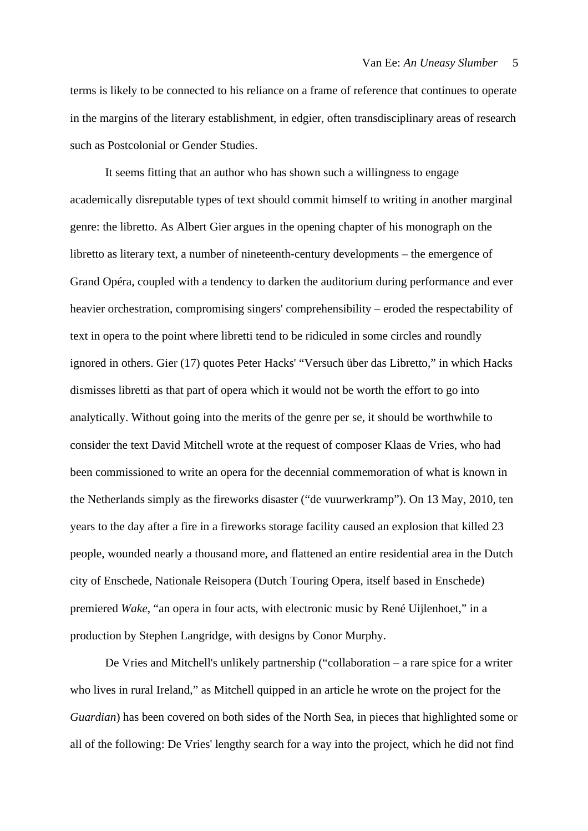terms is likely to be connected to his reliance on a frame of reference that continues to operate in the margins of the literary establishment, in edgier, often transdisciplinary areas of research such as Postcolonial or Gender Studies.

It seems fitting that an author who has shown such a willingness to engage academically disreputable types of text should commit himself to writing in another marginal genre: the libretto. As Albert Gier argues in the opening chapter of his monograph on the libretto as literary text, a number of nineteenth-century developments – the emergence of Grand Opéra, coupled with a tendency to darken the auditorium during performance and ever heavier orchestration, compromising singers' comprehensibility – eroded the respectability of text in opera to the point where libretti tend to be ridiculed in some circles and roundly ignored in others. Gier (17) quotes Peter Hacks' "Versuch über das Libretto," in which Hacks dismisses libretti as that part of opera which it would not be worth the effort to go into analytically. Without going into the merits of the genre per se, it should be worthwhile to consider the text David Mitchell wrote at the request of composer Klaas de Vries, who had been commissioned to write an opera for the decennial commemoration of what is known in the Netherlands simply as the fireworks disaster ("de vuurwerkramp"). On 13 May, 2010, ten years to the day after a fire in a fireworks storage facility caused an explosion that killed 23 people, wounded nearly a thousand more, and flattened an entire residential area in the Dutch city of Enschede, Nationale Reisopera (Dutch Touring Opera, itself based in Enschede) premiered *Wake*, "an opera in four acts, with electronic music by René Uijlenhoet," in a production by Stephen Langridge, with designs by Conor Murphy.

De Vries and Mitchell's unlikely partnership ("collaboration – a rare spice for a writer who lives in rural Ireland," as Mitchell quipped in an article he wrote on the project for the *Guardian*) has been covered on both sides of the North Sea, in pieces that highlighted some or all of the following: De Vries' lengthy search for a way into the project, which he did not find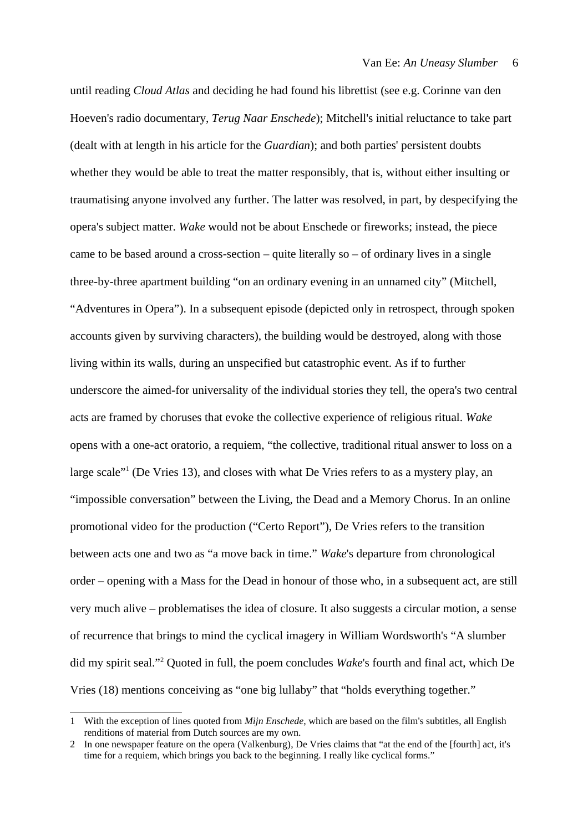until reading *Cloud Atlas* and deciding he had found his librettist (see e.g. Corinne van den Hoeven's radio documentary, *Terug Naar Enschede*); Mitchell's initial reluctance to take part (dealt with at length in his article for the *Guardian*); and both parties' persistent doubts whether they would be able to treat the matter responsibly, that is, without either insulting or traumatising anyone involved any further. The latter was resolved, in part, by despecifying the opera's subject matter. *Wake* would not be about Enschede or fireworks; instead, the piece came to be based around a cross-section – quite literally so – of ordinary lives in a single three-by-three apartment building "on an ordinary evening in an unnamed city" (Mitchell, "Adventures in Opera"). In a subsequent episode (depicted only in retrospect, through spoken accounts given by surviving characters), the building would be destroyed, along with those living within its walls, during an unspecified but catastrophic event. As if to further underscore the aimed-for universality of the individual stories they tell, the opera's two central acts are framed by choruses that evoke the collective experience of religious ritual. *Wake* opens with a one-act oratorio, a requiem, "the collective, traditional ritual answer to loss on a large scale"<sup>[1](#page-6-0)</sup> (De Vries 13), and closes with what De Vries refers to as a mystery play, an "impossible conversation" between the Living, the Dead and a Memory Chorus. In an online promotional video for the production ("Certo Report"), De Vries refers to the transition between acts one and two as "a move back in time." *Wake*'s departure from chronological order – opening with a Mass for the Dead in honour of those who, in a subsequent act, are still very much alive – problematises the idea of closure. It also suggests a circular motion, a sense of recurrence that brings to mind the cyclical imagery in William Wordsworth's "A slumber did my spirit seal."[2](#page-6-1) Quoted in full, the poem concludes *Wake*'s fourth and final act, which De Vries (18) mentions conceiving as "one big lullaby" that "holds everything together."

<span id="page-6-0"></span><sup>1</sup> With the exception of lines quoted from *Mijn Enschede*, which are based on the film's subtitles, all English renditions of material from Dutch sources are my own.

<span id="page-6-1"></span><sup>2</sup> In one newspaper feature on the opera (Valkenburg), De Vries claims that "at the end of the [fourth] act, it's time for a requiem, which brings you back to the beginning. I really like cyclical forms."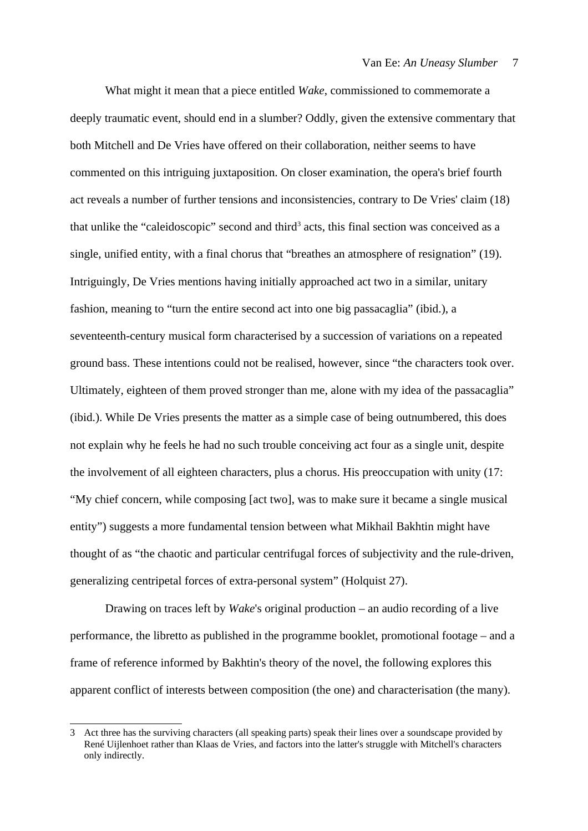What might it mean that a piece entitled *Wake*, commissioned to commemorate a deeply traumatic event, should end in a slumber? Oddly, given the extensive commentary that both Mitchell and De Vries have offered on their collaboration, neither seems to have commented on this intriguing juxtaposition. On closer examination, the opera's brief fourth act reveals a number of further tensions and inconsistencies, contrary to De Vries' claim (18) that unlike the "caleidoscopic" second and third<sup>[3](#page-7-0)</sup> acts, this final section was conceived as a single, unified entity, with a final chorus that "breathes an atmosphere of resignation" (19). Intriguingly, De Vries mentions having initially approached act two in a similar, unitary fashion, meaning to "turn the entire second act into one big passacaglia" (ibid.), a seventeenth-century musical form characterised by a succession of variations on a repeated ground bass. These intentions could not be realised, however, since "the characters took over. Ultimately, eighteen of them proved stronger than me, alone with my idea of the passacaglia" (ibid.). While De Vries presents the matter as a simple case of being outnumbered, this does not explain why he feels he had no such trouble conceiving act four as a single unit, despite the involvement of all eighteen characters, plus a chorus. His preoccupation with unity (17: "My chief concern, while composing [act two], was to make sure it became a single musical entity") suggests a more fundamental tension between what Mikhail Bakhtin might have thought of as "the chaotic and particular centrifugal forces of subjectivity and the rule-driven, generalizing centripetal forces of extra-personal system" (Holquist 27).

Drawing on traces left by *Wake*'s original production – an audio recording of a live performance, the libretto as published in the programme booklet, promotional footage – and a frame of reference informed by Bakhtin's theory of the novel, the following explores this apparent conflict of interests between composition (the one) and characterisation (the many).

<span id="page-7-0"></span><sup>3</sup> Act three has the surviving characters (all speaking parts) speak their lines over a soundscape provided by René Uijlenhoet rather than Klaas de Vries, and factors into the latter's struggle with Mitchell's characters only indirectly.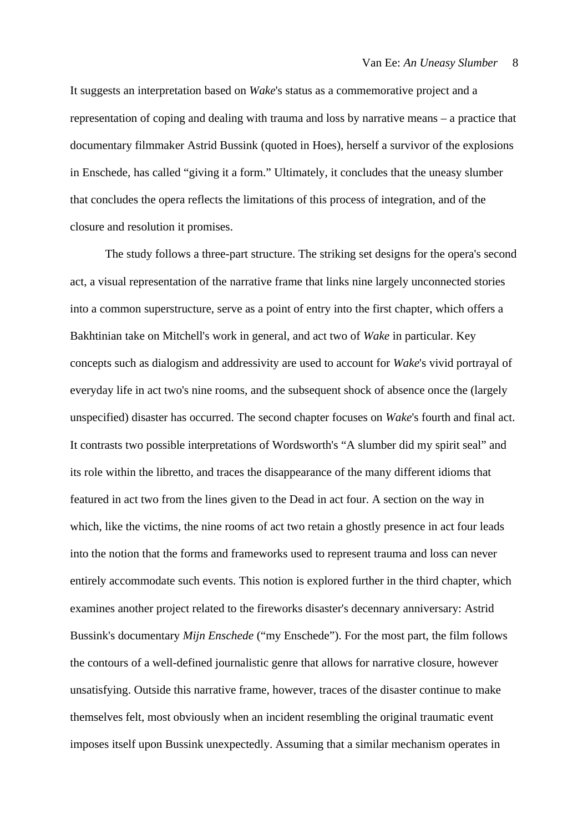It suggests an interpretation based on *Wake*'s status as a commemorative project and a representation of coping and dealing with trauma and loss by narrative means – a practice that documentary filmmaker Astrid Bussink (quoted in Hoes), herself a survivor of the explosions in Enschede, has called "giving it a form." Ultimately, it concludes that the uneasy slumber that concludes the opera reflects the limitations of this process of integration, and of the closure and resolution it promises.

The study follows a three-part structure. The striking set designs for the opera's second act, a visual representation of the narrative frame that links nine largely unconnected stories into a common superstructure, serve as a point of entry into the first chapter, which offers a Bakhtinian take on Mitchell's work in general, and act two of *Wake* in particular. Key concepts such as dialogism and addressivity are used to account for *Wake*'s vivid portrayal of everyday life in act two's nine rooms, and the subsequent shock of absence once the (largely unspecified) disaster has occurred. The second chapter focuses on *Wake*'s fourth and final act. It contrasts two possible interpretations of Wordsworth's "A slumber did my spirit seal" and its role within the libretto, and traces the disappearance of the many different idioms that featured in act two from the lines given to the Dead in act four. A section on the way in which, like the victims, the nine rooms of act two retain a ghostly presence in act four leads into the notion that the forms and frameworks used to represent trauma and loss can never entirely accommodate such events. This notion is explored further in the third chapter, which examines another project related to the fireworks disaster's decennary anniversary: Astrid Bussink's documentary *Mijn Enschede* ("my Enschede"). For the most part, the film follows the contours of a well-defined journalistic genre that allows for narrative closure, however unsatisfying. Outside this narrative frame, however, traces of the disaster continue to make themselves felt, most obviously when an incident resembling the original traumatic event imposes itself upon Bussink unexpectedly. Assuming that a similar mechanism operates in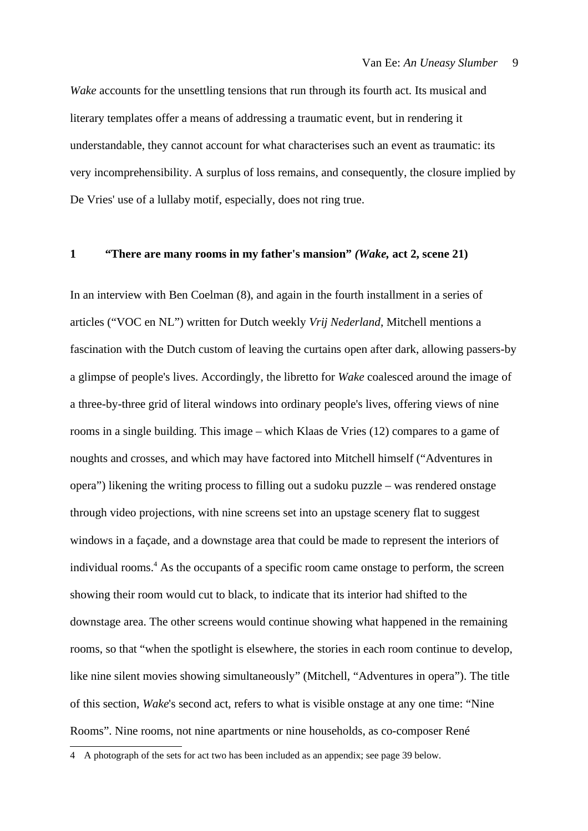*Wake* accounts for the unsettling tensions that run through its fourth act. Its musical and literary templates offer a means of addressing a traumatic event, but in rendering it understandable, they cannot account for what characterises such an event as traumatic: its very incomprehensibility. A surplus of loss remains, and consequently, the closure implied by De Vries' use of a lullaby motif, especially, does not ring true.

### **1 "There are many rooms in my father's mansion"** *(Wake,* **act 2, scene 21)**

In an interview with Ben Coelman (8), and again in the fourth installment in a series of articles ("VOC en NL") written for Dutch weekly *Vrij Nederland*, Mitchell mentions a fascination with the Dutch custom of leaving the curtains open after dark, allowing passers-by a glimpse of people's lives. Accordingly, the libretto for *Wake* coalesced around the image of a three-by-three grid of literal windows into ordinary people's lives, offering views of nine rooms in a single building. This image – which Klaas de Vries (12) compares to a game of noughts and crosses, and which may have factored into Mitchell himself ("Adventures in opera") likening the writing process to filling out a sudoku puzzle – was rendered onstage through video projections, with nine screens set into an upstage scenery flat to suggest windows in a façade, and a downstage area that could be made to represent the interiors of individual rooms.<sup>[4](#page-9-0)</sup> As the occupants of a specific room came onstage to perform, the screen showing their room would cut to black, to indicate that its interior had shifted to the downstage area. The other screens would continue showing what happened in the remaining rooms, so that "when the spotlight is elsewhere, the stories in each room continue to develop, like nine silent movies showing simultaneously" (Mitchell, "Adventures in opera"). The title of this section, *Wake*'s second act, refers to what is visible onstage at any one time: "Nine Rooms". Nine rooms, not nine apartments or nine households, as co-composer René

<span id="page-9-0"></span><sup>4</sup> A photograph of the sets for act two has been included as an appendix; see page 39 below.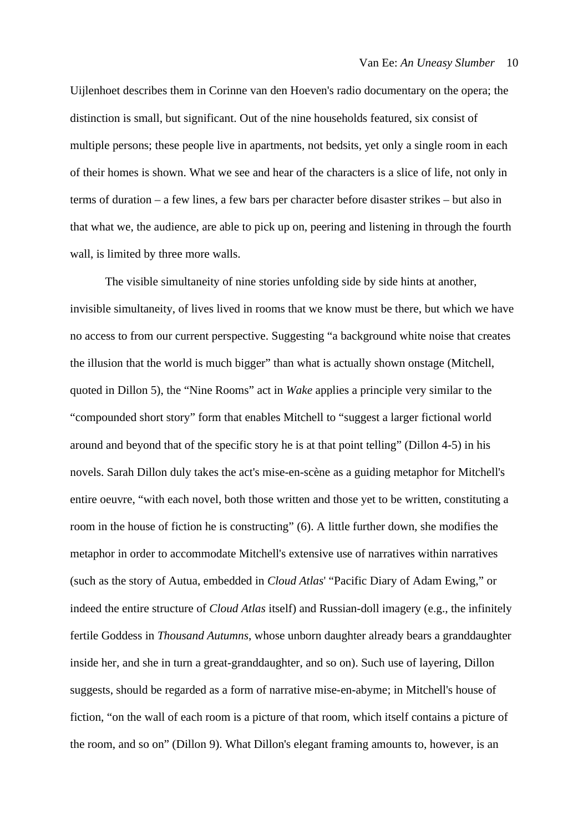Uijlenhoet describes them in Corinne van den Hoeven's radio documentary on the opera; the distinction is small, but significant. Out of the nine households featured, six consist of multiple persons; these people live in apartments, not bedsits, yet only a single room in each of their homes is shown. What we see and hear of the characters is a slice of life, not only in terms of duration – a few lines, a few bars per character before disaster strikes – but also in that what we, the audience, are able to pick up on, peering and listening in through the fourth wall, is limited by three more walls.

The visible simultaneity of nine stories unfolding side by side hints at another, invisible simultaneity, of lives lived in rooms that we know must be there, but which we have no access to from our current perspective. Suggesting "a background white noise that creates the illusion that the world is much bigger" than what is actually shown onstage (Mitchell, quoted in Dillon 5), the "Nine Rooms" act in *Wake* applies a principle very similar to the "compounded short story" form that enables Mitchell to "suggest a larger fictional world around and beyond that of the specific story he is at that point telling" (Dillon 4-5) in his novels. Sarah Dillon duly takes the act's mise-en-scène as a guiding metaphor for Mitchell's entire oeuvre, "with each novel, both those written and those yet to be written, constituting a room in the house of fiction he is constructing" (6). A little further down, she modifies the metaphor in order to accommodate Mitchell's extensive use of narratives within narratives (such as the story of Autua, embedded in *Cloud Atlas*' "Pacific Diary of Adam Ewing," or indeed the entire structure of *Cloud Atlas* itself) and Russian-doll imagery (e.g., the infinitely fertile Goddess in *Thousand Autumns*, whose unborn daughter already bears a granddaughter inside her, and she in turn a great-granddaughter, and so on). Such use of layering, Dillon suggests, should be regarded as a form of narrative mise-en-abyme; in Mitchell's house of fiction, "on the wall of each room is a picture of that room, which itself contains a picture of the room, and so on" (Dillon 9). What Dillon's elegant framing amounts to, however, is an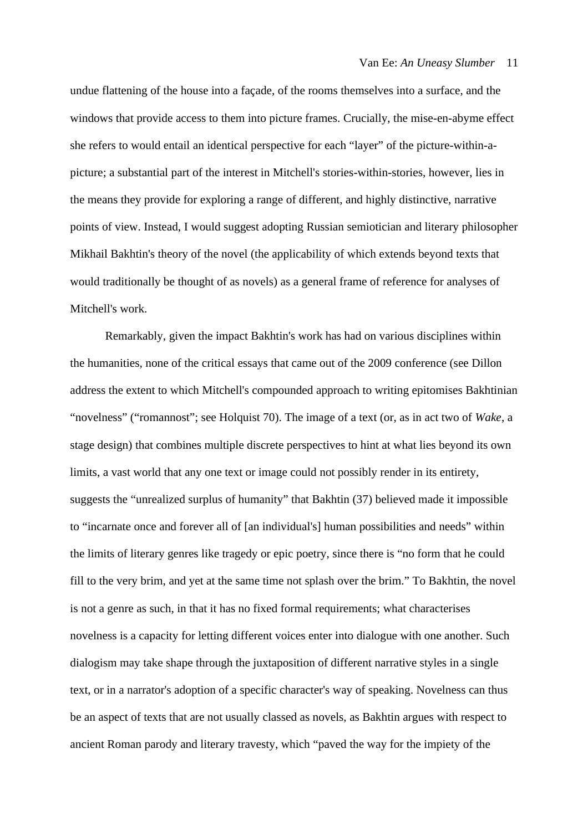undue flattening of the house into a façade, of the rooms themselves into a surface, and the windows that provide access to them into picture frames. Crucially, the mise-en-abyme effect she refers to would entail an identical perspective for each "layer" of the picture-within-apicture; a substantial part of the interest in Mitchell's stories-within-stories, however, lies in the means they provide for exploring a range of different, and highly distinctive, narrative points of view. Instead, I would suggest adopting Russian semiotician and literary philosopher Mikhail Bakhtin's theory of the novel (the applicability of which extends beyond texts that would traditionally be thought of as novels) as a general frame of reference for analyses of Mitchell's work.

Remarkably, given the impact Bakhtin's work has had on various disciplines within the humanities, none of the critical essays that came out of the 2009 conference (see Dillon address the extent to which Mitchell's compounded approach to writing epitomises Bakhtinian "novelness" ("romannost"; see Holquist 70). The image of a text (or, as in act two of *Wake*, a stage design) that combines multiple discrete perspectives to hint at what lies beyond its own limits, a vast world that any one text or image could not possibly render in its entirety, suggests the "unrealized surplus of humanity" that Bakhtin (37) believed made it impossible to "incarnate once and forever all of [an individual's] human possibilities and needs" within the limits of literary genres like tragedy or epic poetry, since there is "no form that he could fill to the very brim, and yet at the same time not splash over the brim." To Bakhtin, the novel is not a genre as such, in that it has no fixed formal requirements; what characterises novelness is a capacity for letting different voices enter into dialogue with one another. Such dialogism may take shape through the juxtaposition of different narrative styles in a single text, or in a narrator's adoption of a specific character's way of speaking. Novelness can thus be an aspect of texts that are not usually classed as novels, as Bakhtin argues with respect to ancient Roman parody and literary travesty, which "paved the way for the impiety of the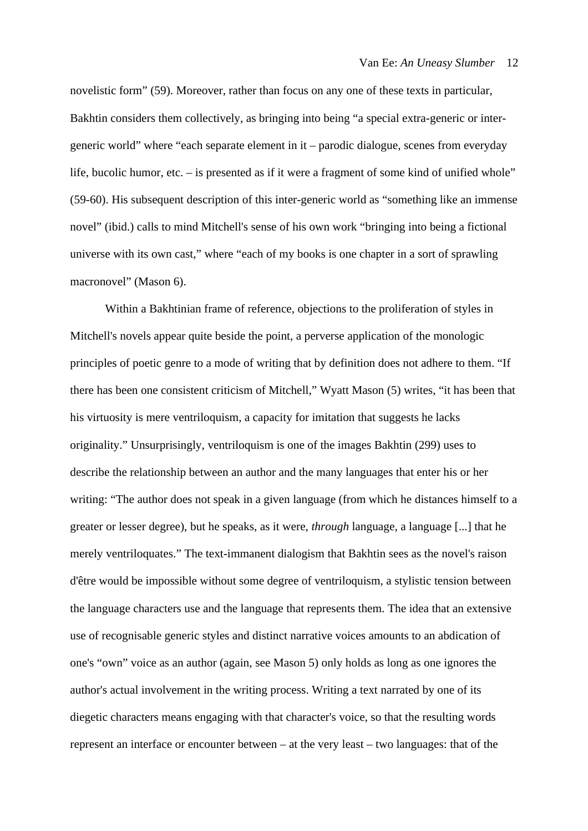novelistic form" (59). Moreover, rather than focus on any one of these texts in particular, Bakhtin considers them collectively, as bringing into being "a special extra-generic or intergeneric world" where "each separate element in it – parodic dialogue, scenes from everyday life, bucolic humor, etc. – is presented as if it were a fragment of some kind of unified whole" (59-60). His subsequent description of this inter-generic world as "something like an immense novel" (ibid.) calls to mind Mitchell's sense of his own work "bringing into being a fictional universe with its own cast," where "each of my books is one chapter in a sort of sprawling macronovel" (Mason 6).

Within a Bakhtinian frame of reference, objections to the proliferation of styles in Mitchell's novels appear quite beside the point, a perverse application of the monologic principles of poetic genre to a mode of writing that by definition does not adhere to them. "If there has been one consistent criticism of Mitchell," Wyatt Mason (5) writes, "it has been that his virtuosity is mere ventriloquism, a capacity for imitation that suggests he lacks originality." Unsurprisingly, ventriloquism is one of the images Bakhtin (299) uses to describe the relationship between an author and the many languages that enter his or her writing: "The author does not speak in a given language (from which he distances himself to a greater or lesser degree), but he speaks, as it were, *through* language, a language [...] that he merely ventriloquates." The text-immanent dialogism that Bakhtin sees as the novel's raison d'être would be impossible without some degree of ventriloquism, a stylistic tension between the language characters use and the language that represents them. The idea that an extensive use of recognisable generic styles and distinct narrative voices amounts to an abdication of one's "own" voice as an author (again, see Mason 5) only holds as long as one ignores the author's actual involvement in the writing process. Writing a text narrated by one of its diegetic characters means engaging with that character's voice, so that the resulting words represent an interface or encounter between – at the very least – two languages: that of the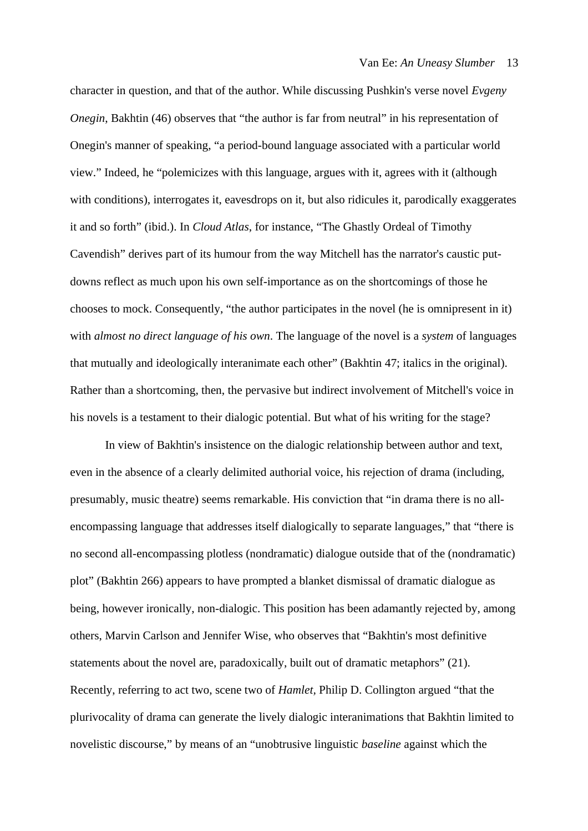character in question, and that of the author. While discussing Pushkin's verse novel *Evgeny Onegin*, Bakhtin (46) observes that "the author is far from neutral" in his representation of Onegin's manner of speaking, "a period-bound language associated with a particular world view." Indeed, he "polemicizes with this language, argues with it, agrees with it (although with conditions), interrogates it, eavesdrops on it, but also ridicules it, parodically exaggerates it and so forth" (ibid.). In *Cloud Atlas*, for instance, "The Ghastly Ordeal of Timothy Cavendish" derives part of its humour from the way Mitchell has the narrator's caustic putdowns reflect as much upon his own self-importance as on the shortcomings of those he chooses to mock. Consequently, "the author participates in the novel (he is omnipresent in it) with *almost no direct language of his own*. The language of the novel is a *system* of languages that mutually and ideologically interanimate each other" (Bakhtin 47; italics in the original). Rather than a shortcoming, then, the pervasive but indirect involvement of Mitchell's voice in his novels is a testament to their dialogic potential. But what of his writing for the stage?

In view of Bakhtin's insistence on the dialogic relationship between author and text, even in the absence of a clearly delimited authorial voice, his rejection of drama (including, presumably, music theatre) seems remarkable. His conviction that "in drama there is no allencompassing language that addresses itself dialogically to separate languages," that "there is no second all-encompassing plotless (nondramatic) dialogue outside that of the (nondramatic) plot" (Bakhtin 266) appears to have prompted a blanket dismissal of dramatic dialogue as being, however ironically, non-dialogic. This position has been adamantly rejected by, among others, Marvin Carlson and Jennifer Wise, who observes that "Bakhtin's most definitive statements about the novel are, paradoxically, built out of dramatic metaphors" (21). Recently, referring to act two, scene two of *Hamlet,* Philip D. Collington argued "that the plurivocality of drama can generate the lively dialogic interanimations that Bakhtin limited to novelistic discourse," by means of an "unobtrusive linguistic *baseline* against which the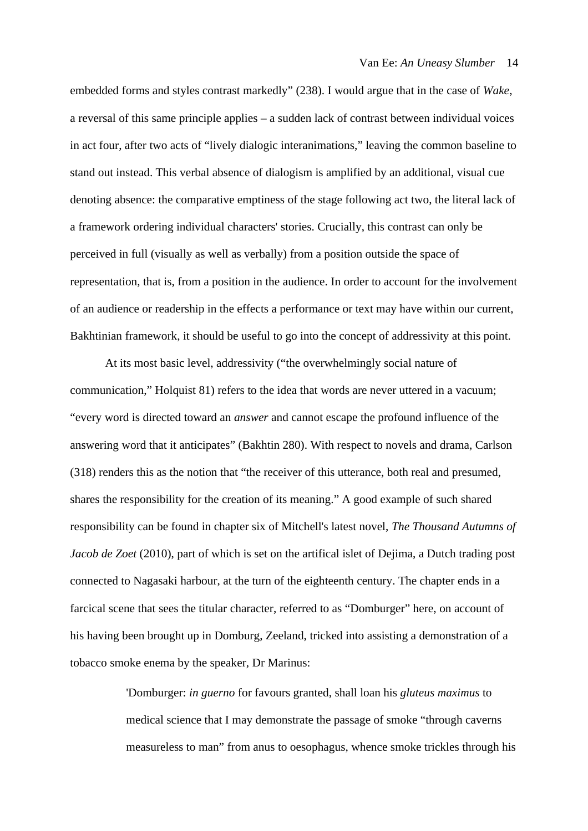embedded forms and styles contrast markedly" (238). I would argue that in the case of *Wake*, a reversal of this same principle applies – a sudden lack of contrast between individual voices in act four, after two acts of "lively dialogic interanimations," leaving the common baseline to stand out instead. This verbal absence of dialogism is amplified by an additional, visual cue denoting absence: the comparative emptiness of the stage following act two, the literal lack of a framework ordering individual characters' stories. Crucially, this contrast can only be perceived in full (visually as well as verbally) from a position outside the space of representation, that is, from a position in the audience. In order to account for the involvement of an audience or readership in the effects a performance or text may have within our current, Bakhtinian framework, it should be useful to go into the concept of addressivity at this point.

At its most basic level, addressivity ("the overwhelmingly social nature of communication," Holquist 81) refers to the idea that words are never uttered in a vacuum; "every word is directed toward an *answer* and cannot escape the profound influence of the answering word that it anticipates" (Bakhtin 280). With respect to novels and drama, Carlson (318) renders this as the notion that "the receiver of this utterance, both real and presumed, shares the responsibility for the creation of its meaning." A good example of such shared responsibility can be found in chapter six of Mitchell's latest novel, *The Thousand Autumns of Jacob de Zoet* (2010), part of which is set on the artifical islet of Dejima, a Dutch trading post connected to Nagasaki harbour, at the turn of the eighteenth century. The chapter ends in a farcical scene that sees the titular character, referred to as "Domburger" here, on account of his having been brought up in Domburg, Zeeland, tricked into assisting a demonstration of a tobacco smoke enema by the speaker, Dr Marinus:

> 'Domburger: *in guerno* for favours granted, shall loan his *gluteus maximus* to medical science that I may demonstrate the passage of smoke "through caverns measureless to man" from anus to oesophagus, whence smoke trickles through his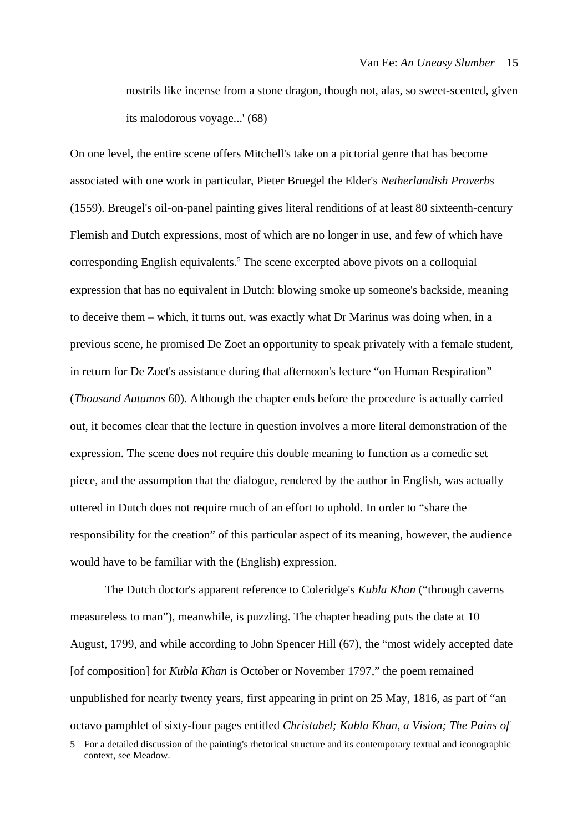nostrils like incense from a stone dragon, though not, alas, so sweet-scented, given its malodorous voyage...' (68)

On one level, the entire scene offers Mitchell's take on a pictorial genre that has become associated with one work in particular, Pieter Bruegel the Elder's *Netherlandish Proverbs* (1559). Breugel's oil-on-panel painting gives literal renditions of at least 80 sixteenth-century Flemish and Dutch expressions, most of which are no longer in use, and few of which have corresponding English equivalents.<sup>[5](#page-15-0)</sup> The scene excerpted above pivots on a colloquial expression that has no equivalent in Dutch: blowing smoke up someone's backside, meaning to deceive them – which, it turns out, was exactly what Dr Marinus was doing when, in a previous scene, he promised De Zoet an opportunity to speak privately with a female student, in return for De Zoet's assistance during that afternoon's lecture "on Human Respiration" (*Thousand Autumns* 60). Although the chapter ends before the procedure is actually carried out, it becomes clear that the lecture in question involves a more literal demonstration of the expression. The scene does not require this double meaning to function as a comedic set piece, and the assumption that the dialogue, rendered by the author in English, was actually uttered in Dutch does not require much of an effort to uphold. In order to "share the responsibility for the creation" of this particular aspect of its meaning, however, the audience would have to be familiar with the (English) expression.

The Dutch doctor's apparent reference to Coleridge's *Kubla Khan* ("through caverns measureless to man"), meanwhile, is puzzling. The chapter heading puts the date at 10 August, 1799, and while according to John Spencer Hill (67), the "most widely accepted date [of composition] for *Kubla Khan* is October or November 1797," the poem remained unpublished for nearly twenty years, first appearing in print on 25 May, 1816, as part of "an octavo pamphlet of sixty-four pages entitled *Christabel; Kubla Khan, a Vision; The Pains of*

<span id="page-15-0"></span><sup>5</sup> For a detailed discussion of the painting's rhetorical structure and its contemporary textual and iconographic context, see Meadow.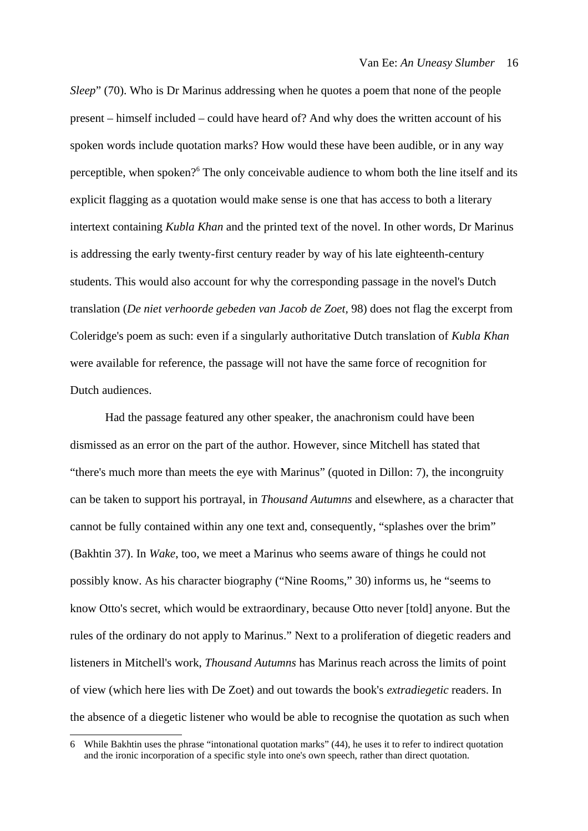*Sleep*" (70). Who is Dr Marinus addressing when he quotes a poem that none of the people present – himself included – could have heard of? And why does the written account of his spoken words include quotation marks? How would these have been audible, or in any way perceptible, when spoken?<sup>[6](#page-16-0)</sup> The only conceivable audience to whom both the line itself and its explicit flagging as a quotation would make sense is one that has access to both a literary intertext containing *Kubla Khan* and the printed text of the novel. In other words, Dr Marinus is addressing the early twenty-first century reader by way of his late eighteenth-century students. This would also account for why the corresponding passage in the novel's Dutch translation (*De niet verhoorde gebeden van Jacob de Zoet,* 98) does not flag the excerpt from Coleridge's poem as such: even if a singularly authoritative Dutch translation of *Kubla Khan* were available for reference, the passage will not have the same force of recognition for Dutch audiences.

Had the passage featured any other speaker, the anachronism could have been dismissed as an error on the part of the author. However, since Mitchell has stated that "there's much more than meets the eye with Marinus" (quoted in Dillon: 7), the incongruity can be taken to support his portrayal, in *Thousand Autumns* and elsewhere, as a character that cannot be fully contained within any one text and, consequently, "splashes over the brim" (Bakhtin 37). In *Wake*, too, we meet a Marinus who seems aware of things he could not possibly know. As his character biography ("Nine Rooms," 30) informs us, he "seems to know Otto's secret, which would be extraordinary, because Otto never [told] anyone. But the rules of the ordinary do not apply to Marinus." Next to a proliferation of diegetic readers and listeners in Mitchell's work, *Thousand Autumns* has Marinus reach across the limits of point of view (which here lies with De Zoet) and out towards the book's *extradiegetic* readers. In the absence of a diegetic listener who would be able to recognise the quotation as such when

<span id="page-16-0"></span><sup>6</sup> While Bakhtin uses the phrase "intonational quotation marks" (44), he uses it to refer to indirect quotation and the ironic incorporation of a specific style into one's own speech, rather than direct quotation.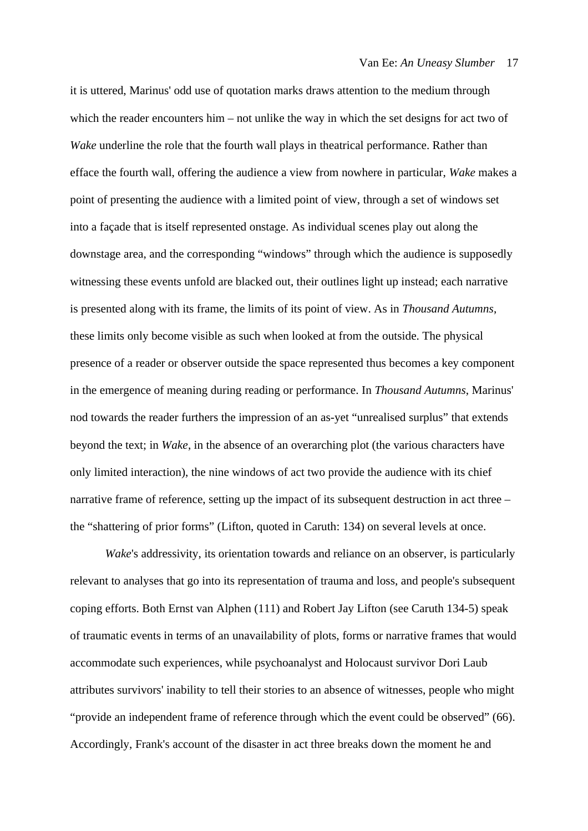it is uttered, Marinus' odd use of quotation marks draws attention to the medium through which the reader encounters him – not unlike the way in which the set designs for act two of *Wake* underline the role that the fourth wall plays in theatrical performance. Rather than efface the fourth wall, offering the audience a view from nowhere in particular, *Wake* makes a point of presenting the audience with a limited point of view, through a set of windows set into a façade that is itself represented onstage. As individual scenes play out along the downstage area, and the corresponding "windows" through which the audience is supposedly witnessing these events unfold are blacked out, their outlines light up instead; each narrative is presented along with its frame, the limits of its point of view. As in *Thousand Autumns*, these limits only become visible as such when looked at from the outside. The physical presence of a reader or observer outside the space represented thus becomes a key component in the emergence of meaning during reading or performance. In *Thousand Autumns*, Marinus' nod towards the reader furthers the impression of an as-yet "unrealised surplus" that extends beyond the text; in *Wake*, in the absence of an overarching plot (the various characters have only limited interaction), the nine windows of act two provide the audience with its chief narrative frame of reference, setting up the impact of its subsequent destruction in act three – the "shattering of prior forms" (Lifton, quoted in Caruth: 134) on several levels at once.

*Wake*'s addressivity, its orientation towards and reliance on an observer, is particularly relevant to analyses that go into its representation of trauma and loss, and people's subsequent coping efforts. Both Ernst van Alphen (111) and Robert Jay Lifton (see Caruth 134-5) speak of traumatic events in terms of an unavailability of plots, forms or narrative frames that would accommodate such experiences, while psychoanalyst and Holocaust survivor Dori Laub attributes survivors' inability to tell their stories to an absence of witnesses, people who might "provide an independent frame of reference through which the event could be observed" (66). Accordingly, Frank's account of the disaster in act three breaks down the moment he and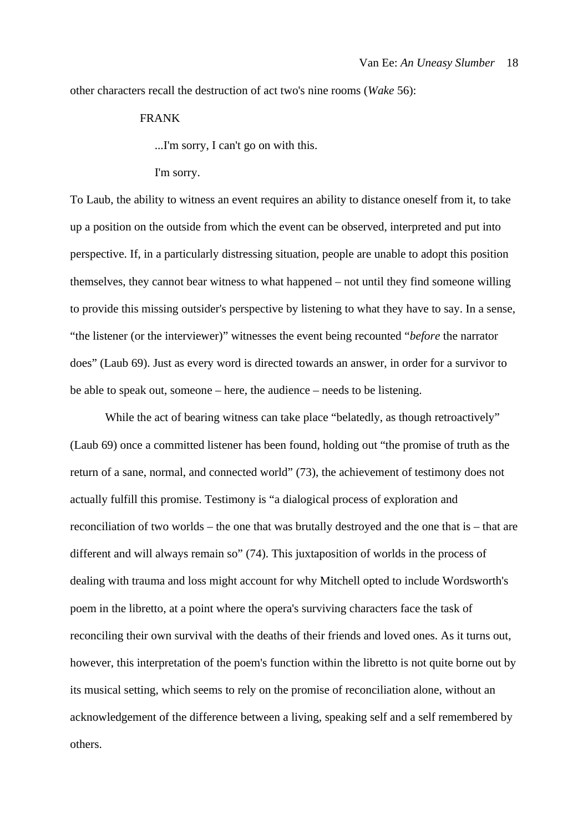other characters recall the destruction of act two's nine rooms (*Wake* 56):

### FRANK

...I'm sorry, I can't go on with this.

#### I'm sorry.

To Laub, the ability to witness an event requires an ability to distance oneself from it, to take up a position on the outside from which the event can be observed, interpreted and put into perspective. If, in a particularly distressing situation, people are unable to adopt this position themselves, they cannot bear witness to what happened – not until they find someone willing to provide this missing outsider's perspective by listening to what they have to say. In a sense, "the listener (or the interviewer)" witnesses the event being recounted "*before* the narrator does" (Laub 69). Just as every word is directed towards an answer, in order for a survivor to be able to speak out, someone – here, the audience – needs to be listening.

While the act of bearing witness can take place "belatedly, as though retroactively" (Laub 69) once a committed listener has been found, holding out "the promise of truth as the return of a sane, normal, and connected world" (73), the achievement of testimony does not actually fulfill this promise. Testimony is "a dialogical process of exploration and reconciliation of two worlds – the one that was brutally destroyed and the one that is – that are different and will always remain so" (74). This juxtaposition of worlds in the process of dealing with trauma and loss might account for why Mitchell opted to include Wordsworth's poem in the libretto, at a point where the opera's surviving characters face the task of reconciling their own survival with the deaths of their friends and loved ones. As it turns out, however, this interpretation of the poem's function within the libretto is not quite borne out by its musical setting, which seems to rely on the promise of reconciliation alone, without an acknowledgement of the difference between a living, speaking self and a self remembered by others.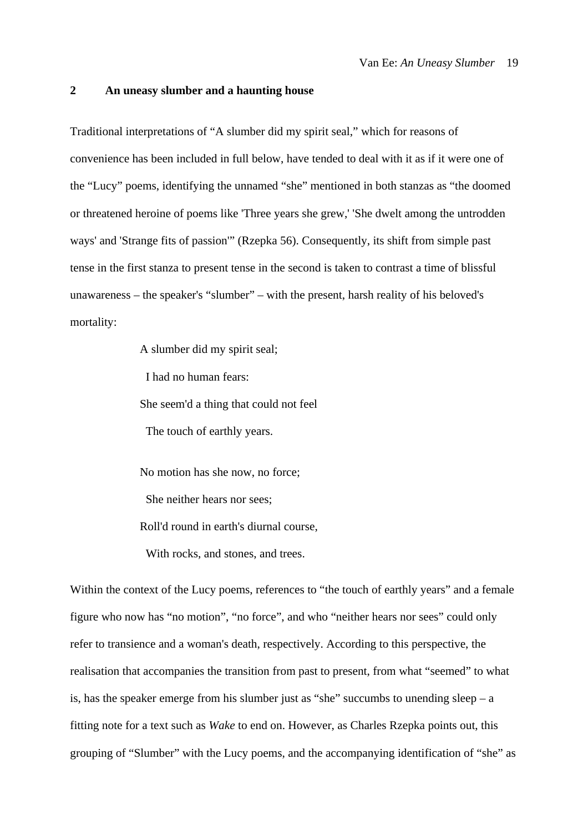#### **2 An uneasy slumber and a haunting house**

Traditional interpretations of "A slumber did my spirit seal," which for reasons of convenience has been included in full below, have tended to deal with it as if it were one of the "Lucy" poems, identifying the unnamed "she" mentioned in both stanzas as "the doomed or threatened heroine of poems like 'Three years she grew,' 'She dwelt among the untrodden ways' and 'Strange fits of passion'" (Rzepka 56). Consequently, its shift from simple past tense in the first stanza to present tense in the second is taken to contrast a time of blissful unawareness – the speaker's "slumber" – with the present, harsh reality of his beloved's mortality:

> A slumber did my spirit seal; I had no human fears: She seem'd a thing that could not feel The touch of earthly years.

> No motion has she now, no force; She neither hears nor sees; Roll'd round in earth's diurnal course, With rocks, and stones, and trees.

Within the context of the Lucy poems, references to "the touch of earthly years" and a female figure who now has "no motion", "no force", and who "neither hears nor sees" could only refer to transience and a woman's death, respectively. According to this perspective, the realisation that accompanies the transition from past to present, from what "seemed" to what is, has the speaker emerge from his slumber just as "she" succumbs to unending sleep  $-$  a fitting note for a text such as *Wake* to end on. However, as Charles Rzepka points out, this grouping of "Slumber" with the Lucy poems, and the accompanying identification of "she" as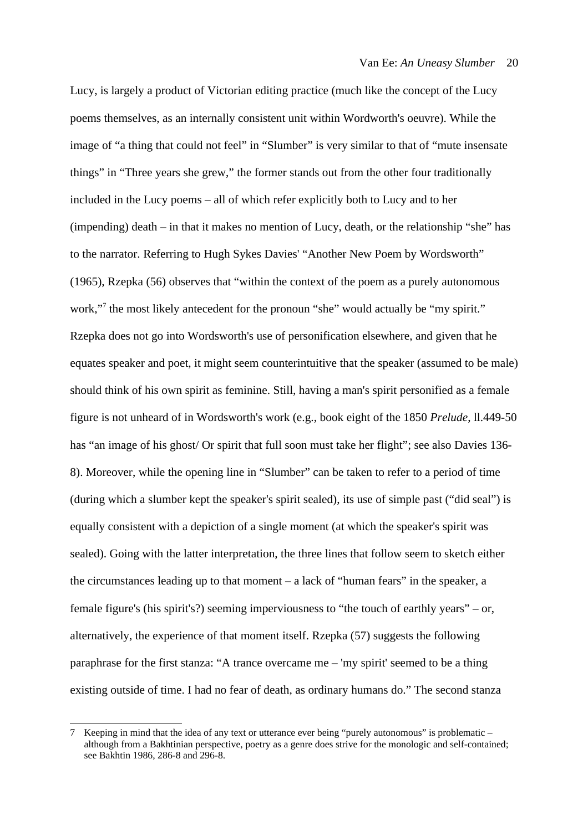Lucy, is largely a product of Victorian editing practice (much like the concept of the Lucy poems themselves, as an internally consistent unit within Wordworth's oeuvre). While the image of "a thing that could not feel" in "Slumber" is very similar to that of "mute insensate things" in "Three years she grew," the former stands out from the other four traditionally included in the Lucy poems – all of which refer explicitly both to Lucy and to her (impending) death – in that it makes no mention of Lucy, death, or the relationship "she" has to the narrator. Referring to Hugh Sykes Davies' "Another New Poem by Wordsworth" (1965), Rzepka (56) observes that "within the context of the poem as a purely autonomous work,"[7](#page-20-0) the most likely antecedent for the pronoun "she" would actually be "my spirit." Rzepka does not go into Wordsworth's use of personification elsewhere, and given that he equates speaker and poet, it might seem counterintuitive that the speaker (assumed to be male) should think of his own spirit as feminine. Still, having a man's spirit personified as a female figure is not unheard of in Wordsworth's work (e.g., book eight of the 1850 *Prelude*, ll.449-50 has "an image of his ghost/ Or spirit that full soon must take her flight"; see also Davies 136-8). Moreover, while the opening line in "Slumber" can be taken to refer to a period of time (during which a slumber kept the speaker's spirit sealed), its use of simple past ("did seal") is equally consistent with a depiction of a single moment (at which the speaker's spirit was sealed). Going with the latter interpretation, the three lines that follow seem to sketch either the circumstances leading up to that moment  $-$  a lack of "human fears" in the speaker, a female figure's (his spirit's?) seeming imperviousness to "the touch of earthly years" – or, alternatively, the experience of that moment itself. Rzepka (57) suggests the following paraphrase for the first stanza: "A trance overcame me  $-$  'my spirit' seemed to be a thing existing outside of time. I had no fear of death, as ordinary humans do." The second stanza

<span id="page-20-0"></span><sup>7</sup> Keeping in mind that the idea of any text or utterance ever being "purely autonomous" is problematic – although from a Bakhtinian perspective, poetry as a genre does strive for the monologic and self-contained; see Bakhtin 1986, 286-8 and 296-8.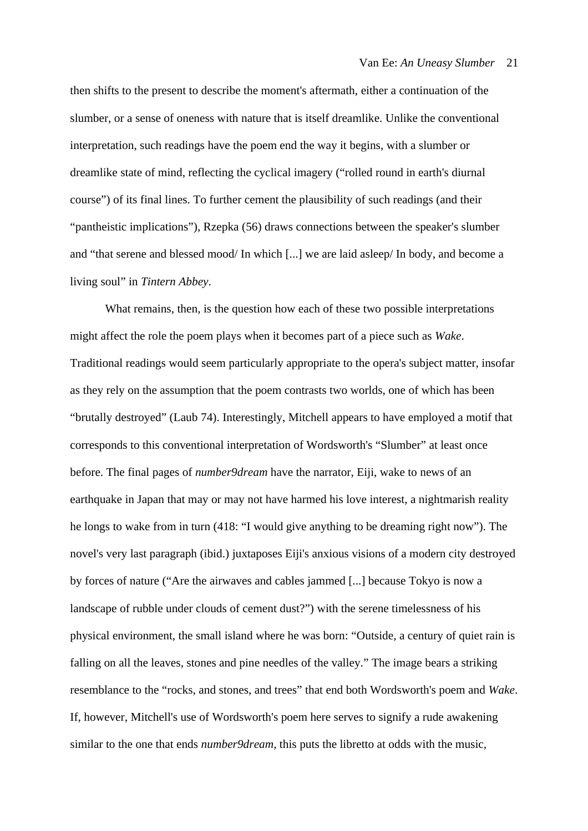then shifts to the present to describe the moment's aftermath, either a continuation of the slumber, or a sense of oneness with nature that is itself dreamlike. Unlike the conventional interpretation, such readings have the poem end the way it begins, with a slumber or dreamlike state of mind, reflecting the cyclical imagery ("rolled round in earth's diurnal course") of its final lines. To further cement the plausibility of such readings (and their "pantheistic implications"), Rzepka (56) draws connections between the speaker's slumber and "that serene and blessed mood/ In which [...] we are laid asleep/ In body, and become a living soul" in *Tintern Abbey*.

What remains, then, is the question how each of these two possible interpretations might affect the role the poem plays when it becomes part of a piece such as *Wake*. Traditional readings would seem particularly appropriate to the opera's subject matter, insofar as they rely on the assumption that the poem contrasts two worlds, one of which has been "brutally destroyed" (Laub 74). Interestingly, Mitchell appears to have employed a motif that corresponds to this conventional interpretation of Wordsworth's "Slumber" at least once before. The final pages of *number9dream* have the narrator, Eiji, wake to news of an earthquake in Japan that may or may not have harmed his love interest, a nightmarish reality he longs to wake from in turn (418: "I would give anything to be dreaming right now"). The novel's very last paragraph (ibid.) juxtaposes Eiji's anxious visions of a modern city destroyed by forces of nature ("Are the airwaves and cables jammed [...] because Tokyo is now a landscape of rubble under clouds of cement dust?") with the serene timelessness of his physical environment, the small island where he was born: "Outside, a century of quiet rain is falling on all the leaves, stones and pine needles of the valley." The image bears a striking resemblance to the "rocks, and stones, and trees" that end both Wordsworth's poem and *Wake*. If, however, Mitchell's use of Wordsworth's poem here serves to signify a rude awakening similar to the one that ends *number9dream*, this puts the libretto at odds with the music,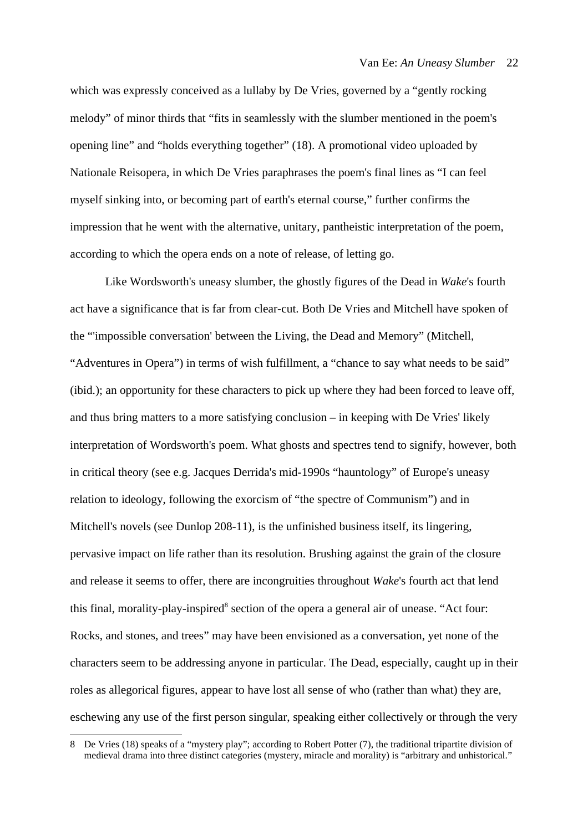which was expressly conceived as a lullaby by De Vries, governed by a "gently rocking melody" of minor thirds that "fits in seamlessly with the slumber mentioned in the poem's opening line" and "holds everything together" (18). A promotional video uploaded by Nationale Reisopera, in which De Vries paraphrases the poem's final lines as "I can feel myself sinking into, or becoming part of earth's eternal course," further confirms the impression that he went with the alternative, unitary, pantheistic interpretation of the poem, according to which the opera ends on a note of release, of letting go.

Like Wordsworth's uneasy slumber, the ghostly figures of the Dead in *Wake*'s fourth act have a significance that is far from clear-cut. Both De Vries and Mitchell have spoken of the "'impossible conversation' between the Living, the Dead and Memory" (Mitchell, "Adventures in Opera") in terms of wish fulfillment, a "chance to say what needs to be said" (ibid.); an opportunity for these characters to pick up where they had been forced to leave off, and thus bring matters to a more satisfying conclusion – in keeping with De Vries' likely interpretation of Wordsworth's poem. What ghosts and spectres tend to signify, however, both in critical theory (see e.g. Jacques Derrida's mid-1990s "hauntology" of Europe's uneasy relation to ideology, following the exorcism of "the spectre of Communism") and in Mitchell's novels (see Dunlop 208-11), is the unfinished business itself, its lingering, pervasive impact on life rather than its resolution. Brushing against the grain of the closure and release it seems to offer, there are incongruities throughout *Wake*'s fourth act that lend this final, morality-play-inspired<sup>[8](#page-22-0)</sup> section of the opera a general air of unease. "Act four: Rocks, and stones, and trees" may have been envisioned as a conversation, yet none of the characters seem to be addressing anyone in particular. The Dead, especially, caught up in their roles as allegorical figures, appear to have lost all sense of who (rather than what) they are, eschewing any use of the first person singular, speaking either collectively or through the very

<span id="page-22-0"></span><sup>8</sup> De Vries (18) speaks of a "mystery play"; according to Robert Potter (7), the traditional tripartite division of medieval drama into three distinct categories (mystery, miracle and morality) is "arbitrary and unhistorical."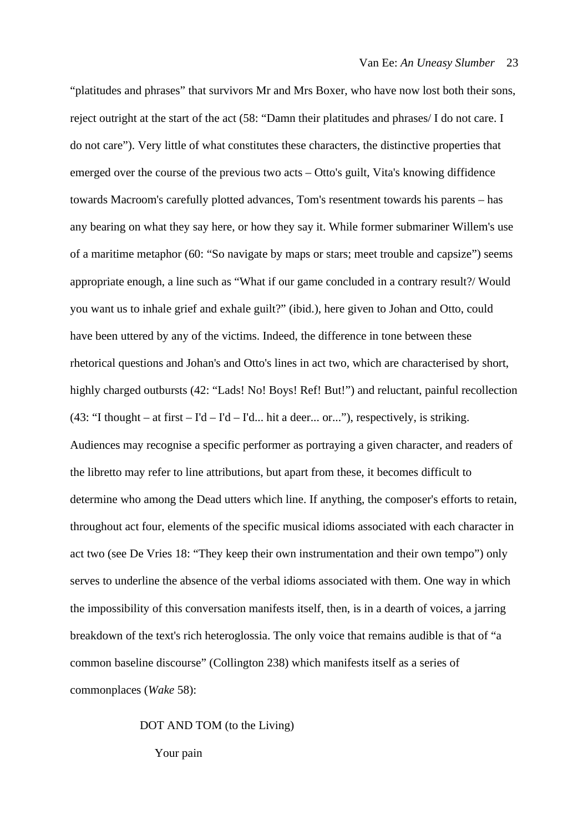"platitudes and phrases" that survivors Mr and Mrs Boxer, who have now lost both their sons, reject outright at the start of the act (58: "Damn their platitudes and phrases/ I do not care. I do not care"). Very little of what constitutes these characters, the distinctive properties that emerged over the course of the previous two acts – Otto's guilt, Vita's knowing diffidence towards Macroom's carefully plotted advances, Tom's resentment towards his parents – has any bearing on what they say here, or how they say it. While former submariner Willem's use of a maritime metaphor (60: "So navigate by maps or stars; meet trouble and capsize") seems appropriate enough, a line such as "What if our game concluded in a contrary result?/ Would you want us to inhale grief and exhale guilt?" (ibid.), here given to Johan and Otto, could have been uttered by any of the victims. Indeed, the difference in tone between these rhetorical questions and Johan's and Otto's lines in act two, which are characterised by short, highly charged outbursts (42: "Lads! No! Boys! Ref! But!") and reluctant, painful recollection (43: "I thought – at first – I'd – I'd – I'd... hit a deer... or..."), respectively, is striking. Audiences may recognise a specific performer as portraying a given character, and readers of the libretto may refer to line attributions, but apart from these, it becomes difficult to determine who among the Dead utters which line. If anything, the composer's efforts to retain, throughout act four, elements of the specific musical idioms associated with each character in act two (see De Vries 18: "They keep their own instrumentation and their own tempo") only serves to underline the absence of the verbal idioms associated with them. One way in which the impossibility of this conversation manifests itself, then, is in a dearth of voices, a jarring breakdown of the text's rich heteroglossia. The only voice that remains audible is that of "a common baseline discourse" (Collington 238) which manifests itself as a series of commonplaces (*Wake* 58):

#### DOT AND TOM (to the Living)

Your pain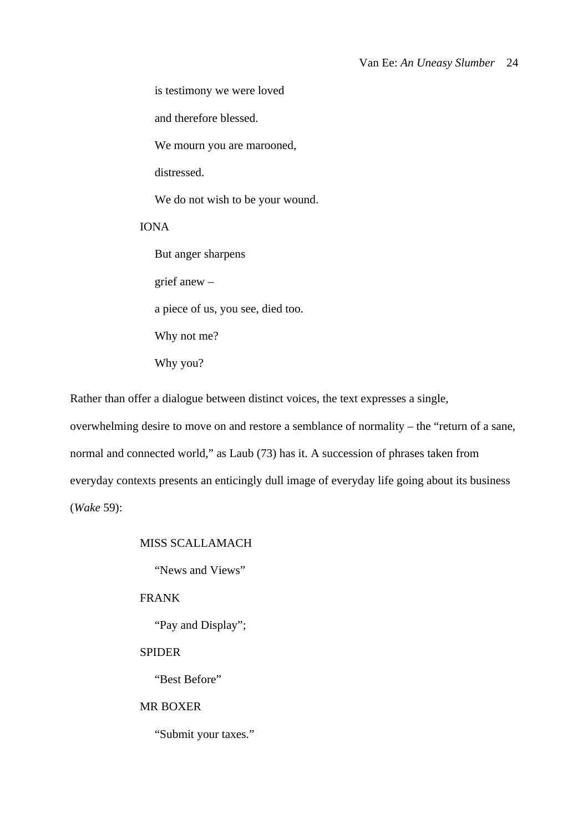is testimony we were loved

and therefore blessed.

We mourn you are marooned,

distressed.

We do not wish to be your wound.

IONA

But anger sharpens grief anew – a piece of us, you see, died too. Why not me? Why you?

Rather than offer a dialogue between distinct voices, the text expresses a single,

overwhelming desire to move on and restore a semblance of normality – the "return of a sane, normal and connected world," as Laub (73) has it. A succession of phrases taken from everyday contexts presents an enticingly dull image of everyday life going about its business (*Wake* 59):

### MISS SCALLAMACH

"News and Views"

FRANK

"Pay and Display";

### SPIDER

"Best Before"

## MR BOXER

"Submit your taxes."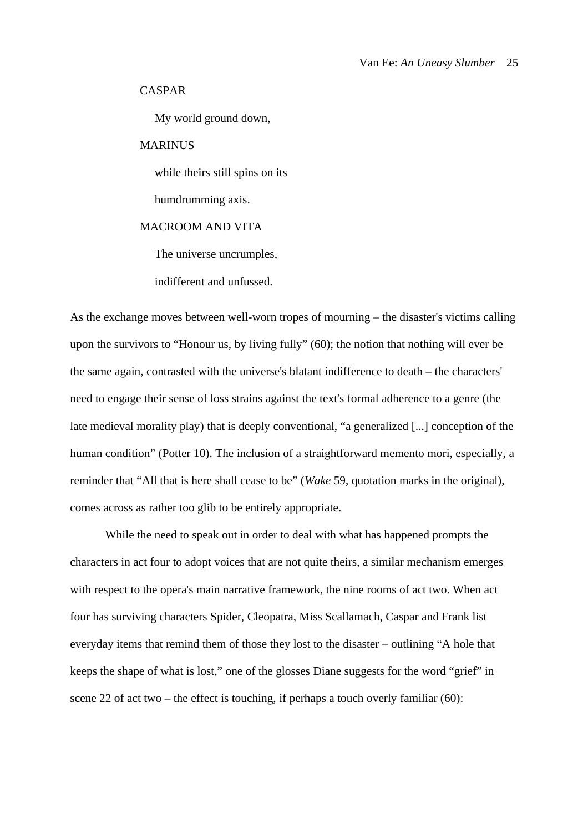#### CASPAR

My world ground down,

### **MARINUS**

while theirs still spins on its

humdrumming axis.

## MACROOM AND VITA

The universe uncrumples,

indifferent and unfussed.

As the exchange moves between well-worn tropes of mourning – the disaster's victims calling upon the survivors to "Honour us, by living fully" (60); the notion that nothing will ever be the same again, contrasted with the universe's blatant indifference to death – the characters' need to engage their sense of loss strains against the text's formal adherence to a genre (the late medieval morality play) that is deeply conventional, "a generalized [...] conception of the human condition" (Potter 10). The inclusion of a straightforward memento mori, especially, a reminder that "All that is here shall cease to be" (*Wake* 59, quotation marks in the original), comes across as rather too glib to be entirely appropriate.

While the need to speak out in order to deal with what has happened prompts the characters in act four to adopt voices that are not quite theirs, a similar mechanism emerges with respect to the opera's main narrative framework, the nine rooms of act two. When act four has surviving characters Spider, Cleopatra, Miss Scallamach, Caspar and Frank list everyday items that remind them of those they lost to the disaster – outlining "A hole that keeps the shape of what is lost," one of the glosses Diane suggests for the word "grief" in scene 22 of act two – the effect is touching, if perhaps a touch overly familiar (60):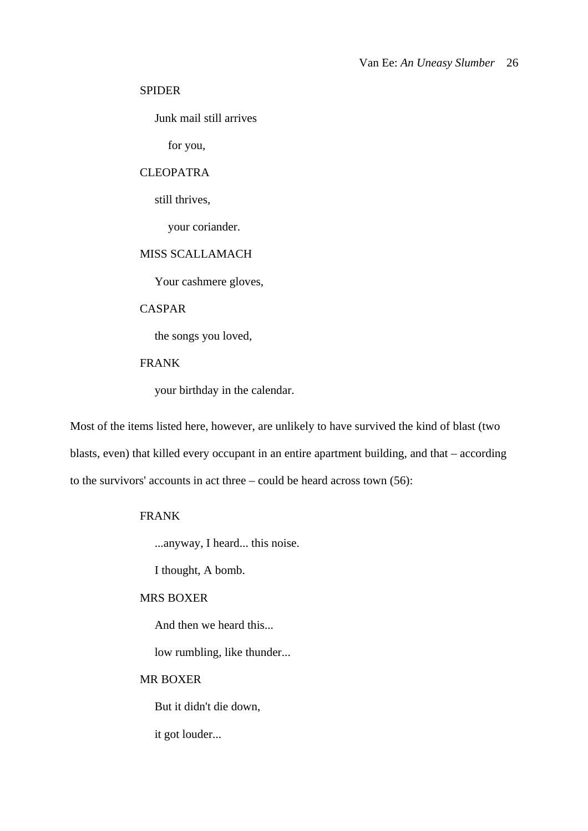#### SPIDER

Junk mail still arrives

for you,

## CLEOPATRA

still thrives,

your coriander.

## MISS SCALLAMACH

Your cashmere gloves,

### CASPAR

the songs you loved,

## FRANK

your birthday in the calendar.

Most of the items listed here, however, are unlikely to have survived the kind of blast (two blasts, even) that killed every occupant in an entire apartment building, and that – according to the survivors' accounts in act three – could be heard across town (56):

## FRANK

...anyway, I heard... this noise.

I thought, A bomb.

### MRS BOXER

And then we heard this...

low rumbling, like thunder...

### MR BOXER

But it didn't die down,

it got louder...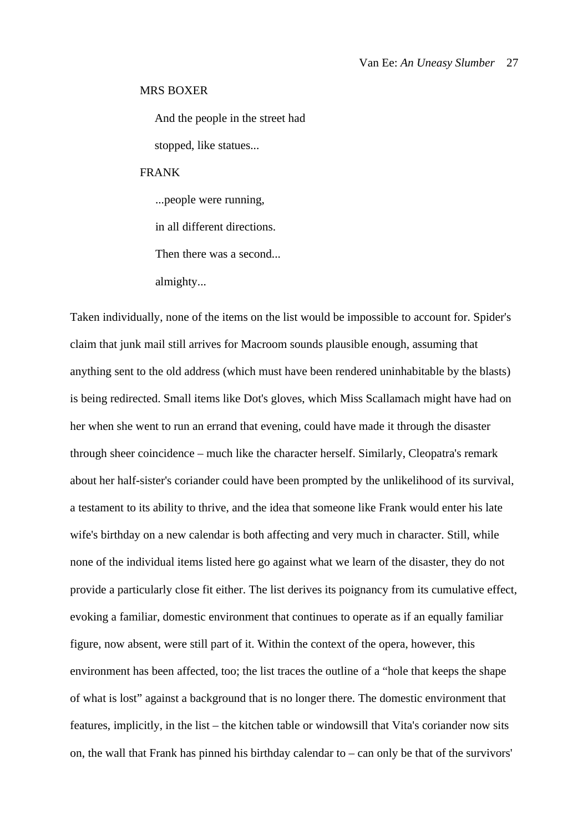#### MRS BOXER

And the people in the street had stopped, like statues...

FRANK

...people were running,

in all different directions.

Then there was a second...

almighty...

Taken individually, none of the items on the list would be impossible to account for. Spider's claim that junk mail still arrives for Macroom sounds plausible enough, assuming that anything sent to the old address (which must have been rendered uninhabitable by the blasts) is being redirected. Small items like Dot's gloves, which Miss Scallamach might have had on her when she went to run an errand that evening, could have made it through the disaster through sheer coincidence – much like the character herself. Similarly, Cleopatra's remark about her half-sister's coriander could have been prompted by the unlikelihood of its survival, a testament to its ability to thrive, and the idea that someone like Frank would enter his late wife's birthday on a new calendar is both affecting and very much in character. Still, while none of the individual items listed here go against what we learn of the disaster, they do not provide a particularly close fit either. The list derives its poignancy from its cumulative effect, evoking a familiar, domestic environment that continues to operate as if an equally familiar figure, now absent, were still part of it. Within the context of the opera, however, this environment has been affected, too; the list traces the outline of a "hole that keeps the shape of what is lost" against a background that is no longer there. The domestic environment that features, implicitly, in the list – the kitchen table or windowsill that Vita's coriander now sits on, the wall that Frank has pinned his birthday calendar to – can only be that of the survivors'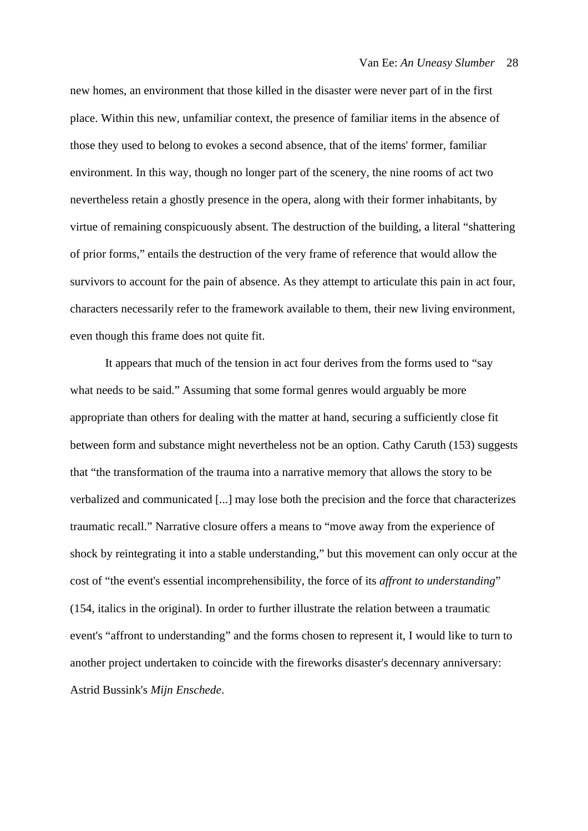new homes, an environment that those killed in the disaster were never part of in the first place. Within this new, unfamiliar context, the presence of familiar items in the absence of those they used to belong to evokes a second absence, that of the items' former, familiar environment. In this way, though no longer part of the scenery, the nine rooms of act two nevertheless retain a ghostly presence in the opera, along with their former inhabitants, by virtue of remaining conspicuously absent. The destruction of the building, a literal "shattering of prior forms," entails the destruction of the very frame of reference that would allow the survivors to account for the pain of absence. As they attempt to articulate this pain in act four, characters necessarily refer to the framework available to them, their new living environment, even though this frame does not quite fit.

It appears that much of the tension in act four derives from the forms used to "say what needs to be said." Assuming that some formal genres would arguably be more appropriate than others for dealing with the matter at hand, securing a sufficiently close fit between form and substance might nevertheless not be an option. Cathy Caruth (153) suggests that "the transformation of the trauma into a narrative memory that allows the story to be verbalized and communicated [...] may lose both the precision and the force that characterizes traumatic recall." Narrative closure offers a means to "move away from the experience of shock by reintegrating it into a stable understanding," but this movement can only occur at the cost of "the event's essential incomprehensibility, the force of its *affront to understanding*" (154, italics in the original). In order to further illustrate the relation between a traumatic event's "affront to understanding" and the forms chosen to represent it, I would like to turn to another project undertaken to coincide with the fireworks disaster's decennary anniversary: Astrid Bussink's *Mijn Enschede*.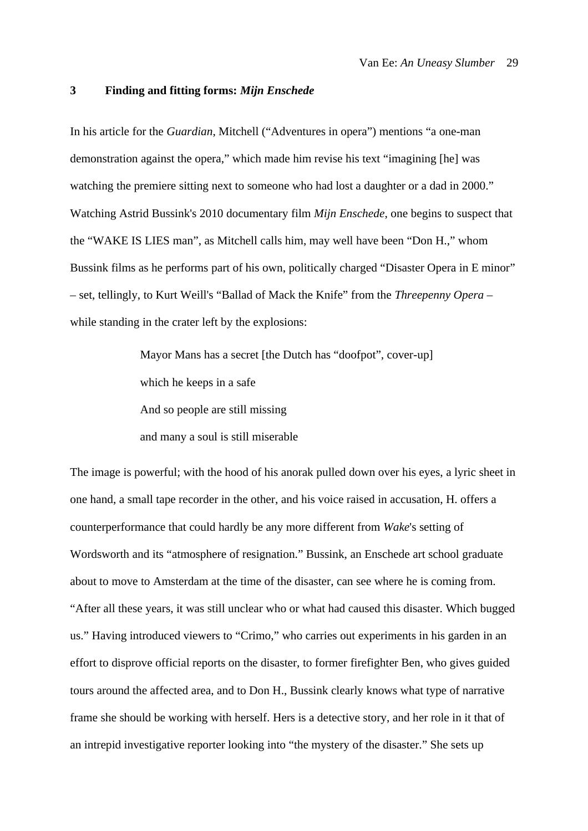#### **3 Finding and fitting forms:** *Mijn Enschede*

In his article for the *Guardian*, Mitchell ("Adventures in opera") mentions "a one-man demonstration against the opera," which made him revise his text "imagining [he] was watching the premiere sitting next to someone who had lost a daughter or a dad in 2000." Watching Astrid Bussink's 2010 documentary film *Mijn Enschede*, one begins to suspect that the "WAKE IS LIES man", as Mitchell calls him, may well have been "Don H.," whom Bussink films as he performs part of his own, politically charged "Disaster Opera in E minor" – set, tellingly, to Kurt Weill's "Ballad of Mack the Knife" from the *Threepenny Opera* – while standing in the crater left by the explosions:

> Mayor Mans has a secret [the Dutch has "doofpot", cover-up] which he keeps in a safe And so people are still missing and many a soul is still miserable

The image is powerful; with the hood of his anorak pulled down over his eyes, a lyric sheet in one hand, a small tape recorder in the other, and his voice raised in accusation, H. offers a counterperformance that could hardly be any more different from *Wake*'s setting of Wordsworth and its "atmosphere of resignation." Bussink, an Enschede art school graduate about to move to Amsterdam at the time of the disaster, can see where he is coming from. "After all these years, it was still unclear who or what had caused this disaster. Which bugged us." Having introduced viewers to "Crimo," who carries out experiments in his garden in an effort to disprove official reports on the disaster, to former firefighter Ben, who gives guided tours around the affected area, and to Don H., Bussink clearly knows what type of narrative frame she should be working with herself. Hers is a detective story, and her role in it that of an intrepid investigative reporter looking into "the mystery of the disaster." She sets up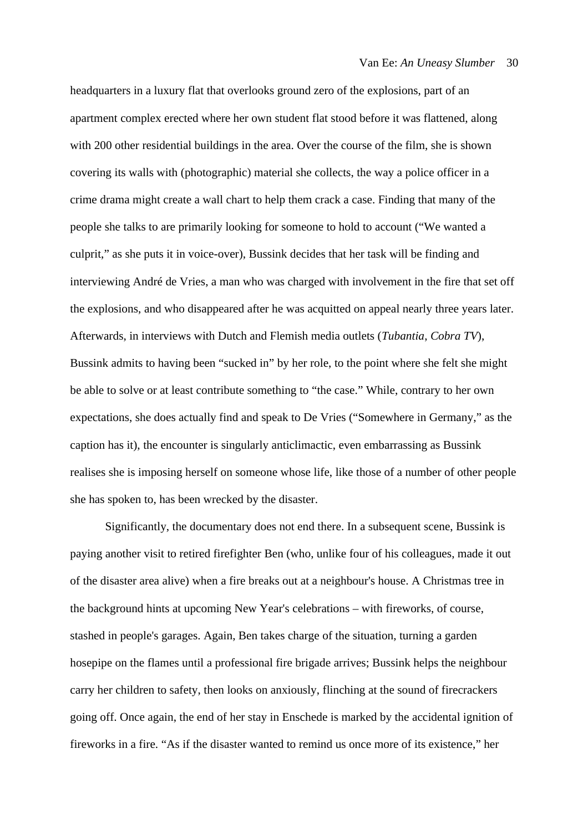headquarters in a luxury flat that overlooks ground zero of the explosions, part of an apartment complex erected where her own student flat stood before it was flattened, along with 200 other residential buildings in the area. Over the course of the film, she is shown covering its walls with (photographic) material she collects, the way a police officer in a crime drama might create a wall chart to help them crack a case. Finding that many of the people she talks to are primarily looking for someone to hold to account ("We wanted a culprit," as she puts it in voice-over), Bussink decides that her task will be finding and interviewing André de Vries, a man who was charged with involvement in the fire that set off the explosions, and who disappeared after he was acquitted on appeal nearly three years later. Afterwards, in interviews with Dutch and Flemish media outlets (*Tubantia*, *Cobra TV*), Bussink admits to having been "sucked in" by her role, to the point where she felt she might be able to solve or at least contribute something to "the case." While, contrary to her own expectations, she does actually find and speak to De Vries ("Somewhere in Germany," as the caption has it), the encounter is singularly anticlimactic, even embarrassing as Bussink realises she is imposing herself on someone whose life, like those of a number of other people she has spoken to, has been wrecked by the disaster.

Significantly, the documentary does not end there. In a subsequent scene, Bussink is paying another visit to retired firefighter Ben (who, unlike four of his colleagues, made it out of the disaster area alive) when a fire breaks out at a neighbour's house. A Christmas tree in the background hints at upcoming New Year's celebrations – with fireworks, of course, stashed in people's garages. Again, Ben takes charge of the situation, turning a garden hosepipe on the flames until a professional fire brigade arrives; Bussink helps the neighbour carry her children to safety, then looks on anxiously, flinching at the sound of firecrackers going off. Once again, the end of her stay in Enschede is marked by the accidental ignition of fireworks in a fire. "As if the disaster wanted to remind us once more of its existence," her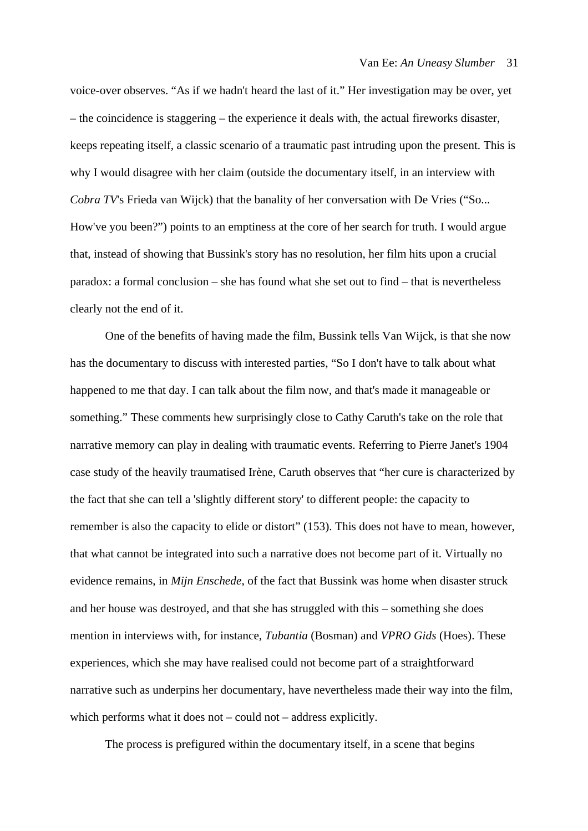voice-over observes. "As if we hadn't heard the last of it." Her investigation may be over, yet – the coincidence is staggering – the experience it deals with, the actual fireworks disaster, keeps repeating itself, a classic scenario of a traumatic past intruding upon the present. This is why I would disagree with her claim (outside the documentary itself, in an interview with *Cobra TV*'s Frieda van Wijck) that the banality of her conversation with De Vries ("So... How've you been?") points to an emptiness at the core of her search for truth. I would argue that, instead of showing that Bussink's story has no resolution, her film hits upon a crucial paradox: a formal conclusion – she has found what she set out to find – that is nevertheless clearly not the end of it.

One of the benefits of having made the film, Bussink tells Van Wijck, is that she now has the documentary to discuss with interested parties, "So I don't have to talk about what happened to me that day. I can talk about the film now, and that's made it manageable or something." These comments hew surprisingly close to Cathy Caruth's take on the role that narrative memory can play in dealing with traumatic events. Referring to Pierre Janet's 1904 case study of the heavily traumatised Irène, Caruth observes that "her cure is characterized by the fact that she can tell a 'slightly different story' to different people: the capacity to remember is also the capacity to elide or distort" (153). This does not have to mean, however, that what cannot be integrated into such a narrative does not become part of it. Virtually no evidence remains, in *Mijn Enschede*, of the fact that Bussink was home when disaster struck and her house was destroyed, and that she has struggled with this – something she does mention in interviews with, for instance, *Tubantia* (Bosman) and *VPRO Gids* (Hoes). These experiences, which she may have realised could not become part of a straightforward narrative such as underpins her documentary, have nevertheless made their way into the film, which performs what it does not – could not – address explicitly.

The process is prefigured within the documentary itself, in a scene that begins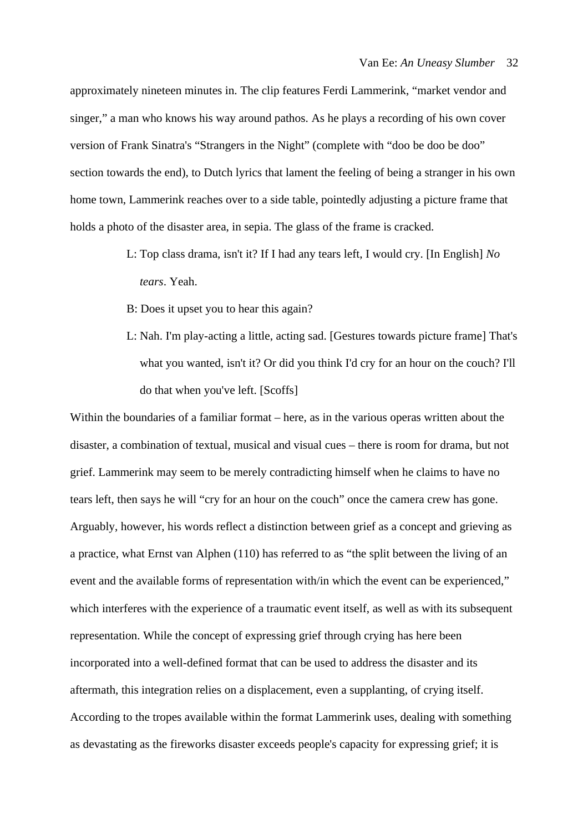approximately nineteen minutes in. The clip features Ferdi Lammerink, "market vendor and singer," a man who knows his way around pathos. As he plays a recording of his own cover version of Frank Sinatra's "Strangers in the Night" (complete with "doo be doo be doo" section towards the end), to Dutch lyrics that lament the feeling of being a stranger in his own home town, Lammerink reaches over to a side table, pointedly adjusting a picture frame that holds a photo of the disaster area, in sepia. The glass of the frame is cracked.

- L: Top class drama, isn't it? If I had any tears left, I would cry. [In English] *No tears*. Yeah.
- B: Does it upset you to hear this again?
- L: Nah. I'm play-acting a little, acting sad. [Gestures towards picture frame] That's what you wanted, isn't it? Or did you think I'd cry for an hour on the couch? I'll do that when you've left. [Scoffs]

Within the boundaries of a familiar format – here, as in the various operas written about the disaster, a combination of textual, musical and visual cues – there is room for drama, but not grief. Lammerink may seem to be merely contradicting himself when he claims to have no tears left, then says he will "cry for an hour on the couch" once the camera crew has gone. Arguably, however, his words reflect a distinction between grief as a concept and grieving as a practice, what Ernst van Alphen (110) has referred to as "the split between the living of an event and the available forms of representation with/in which the event can be experienced," which interferes with the experience of a traumatic event itself, as well as with its subsequent representation. While the concept of expressing grief through crying has here been incorporated into a well-defined format that can be used to address the disaster and its aftermath, this integration relies on a displacement, even a supplanting, of crying itself. According to the tropes available within the format Lammerink uses, dealing with something as devastating as the fireworks disaster exceeds people's capacity for expressing grief; it is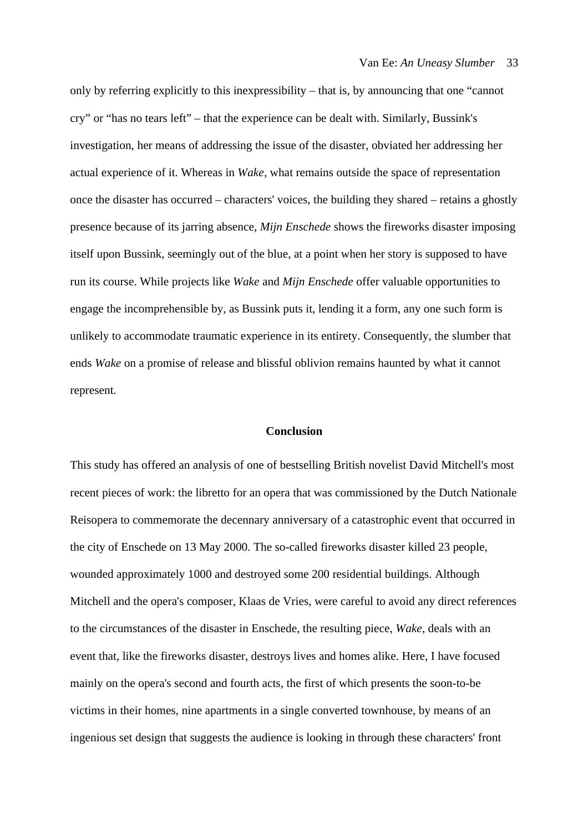only by referring explicitly to this inexpressibility – that is, by announcing that one "cannot cry" or "has no tears left" – that the experience can be dealt with. Similarly, Bussink's investigation, her means of addressing the issue of the disaster, obviated her addressing her actual experience of it. Whereas in *Wake*, what remains outside the space of representation once the disaster has occurred – characters' voices, the building they shared – retains a ghostly presence because of its jarring absence, *Mijn Enschede* shows the fireworks disaster imposing itself upon Bussink, seemingly out of the blue, at a point when her story is supposed to have run its course. While projects like *Wake* and *Mijn Enschede* offer valuable opportunities to engage the incomprehensible by, as Bussink puts it, lending it a form, any one such form is unlikely to accommodate traumatic experience in its entirety. Consequently, the slumber that ends *Wake* on a promise of release and blissful oblivion remains haunted by what it cannot represent.

#### **Conclusion**

This study has offered an analysis of one of bestselling British novelist David Mitchell's most recent pieces of work: the libretto for an opera that was commissioned by the Dutch Nationale Reisopera to commemorate the decennary anniversary of a catastrophic event that occurred in the city of Enschede on 13 May 2000. The so-called fireworks disaster killed 23 people, wounded approximately 1000 and destroyed some 200 residential buildings. Although Mitchell and the opera's composer, Klaas de Vries, were careful to avoid any direct references to the circumstances of the disaster in Enschede, the resulting piece, *Wake*, deals with an event that, like the fireworks disaster, destroys lives and homes alike. Here, I have focused mainly on the opera's second and fourth acts, the first of which presents the soon-to-be victims in their homes, nine apartments in a single converted townhouse, by means of an ingenious set design that suggests the audience is looking in through these characters' front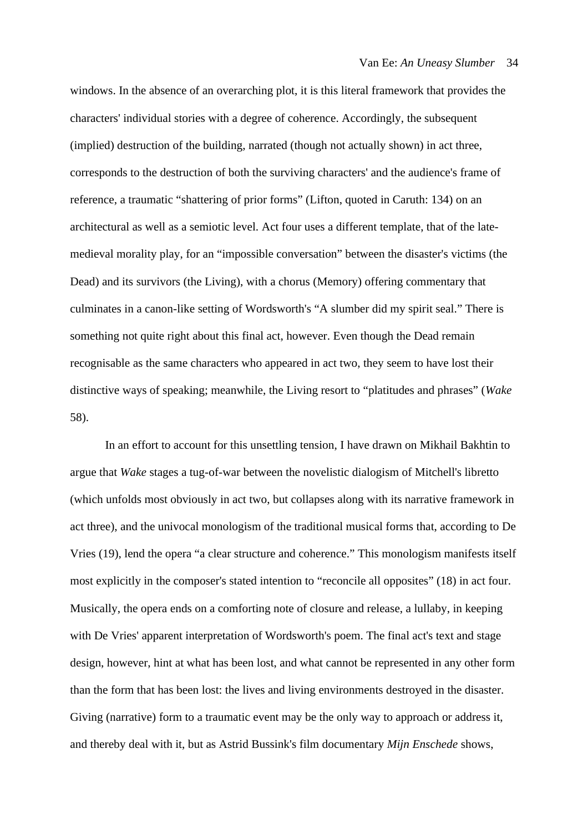windows. In the absence of an overarching plot, it is this literal framework that provides the characters' individual stories with a degree of coherence. Accordingly, the subsequent (implied) destruction of the building, narrated (though not actually shown) in act three, corresponds to the destruction of both the surviving characters' and the audience's frame of reference, a traumatic "shattering of prior forms" (Lifton, quoted in Caruth: 134) on an architectural as well as a semiotic level. Act four uses a different template, that of the latemedieval morality play, for an "impossible conversation" between the disaster's victims (the Dead) and its survivors (the Living), with a chorus (Memory) offering commentary that culminates in a canon-like setting of Wordsworth's "A slumber did my spirit seal." There is something not quite right about this final act, however. Even though the Dead remain recognisable as the same characters who appeared in act two, they seem to have lost their distinctive ways of speaking; meanwhile, the Living resort to "platitudes and phrases" (*Wake* 58).

In an effort to account for this unsettling tension, I have drawn on Mikhail Bakhtin to argue that *Wake* stages a tug-of-war between the novelistic dialogism of Mitchell's libretto (which unfolds most obviously in act two, but collapses along with its narrative framework in act three), and the univocal monologism of the traditional musical forms that, according to De Vries (19), lend the opera "a clear structure and coherence." This monologism manifests itself most explicitly in the composer's stated intention to "reconcile all opposites" (18) in act four. Musically, the opera ends on a comforting note of closure and release, a lullaby, in keeping with De Vries' apparent interpretation of Wordsworth's poem. The final act's text and stage design, however, hint at what has been lost, and what cannot be represented in any other form than the form that has been lost: the lives and living environments destroyed in the disaster. Giving (narrative) form to a traumatic event may be the only way to approach or address it, and thereby deal with it, but as Astrid Bussink's film documentary *Mijn Enschede* shows,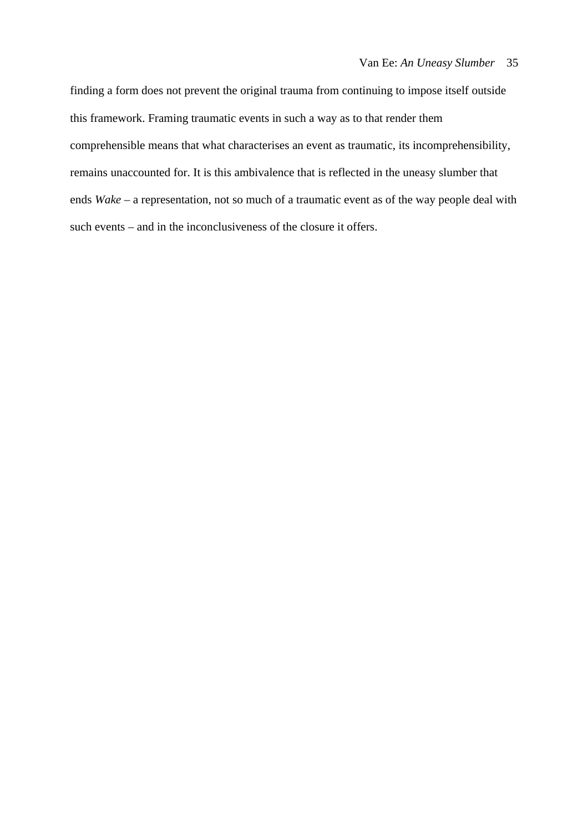finding a form does not prevent the original trauma from continuing to impose itself outside this framework. Framing traumatic events in such a way as to that render them comprehensible means that what characterises an event as traumatic, its incomprehensibility, remains unaccounted for. It is this ambivalence that is reflected in the uneasy slumber that ends *Wake* – a representation, not so much of a traumatic event as of the way people deal with such events – and in the inconclusiveness of the closure it offers.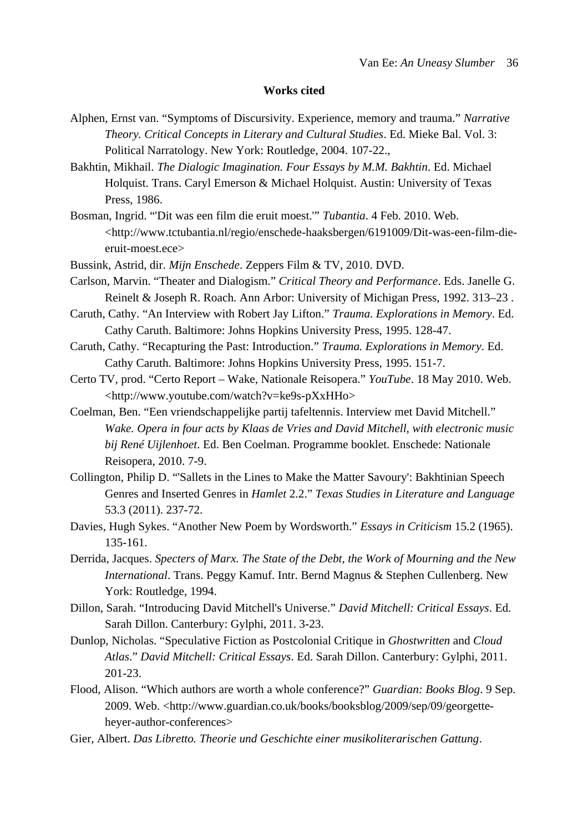#### **Works cited**

- Alphen, Ernst van. "Symptoms of Discursivity. Experience, memory and trauma." *Narrative Theory. Critical Concepts in Literary and Cultural Studies*. Ed. Mieke Bal. Vol. 3: Political Narratology. New York: Routledge, 2004. 107-22.,
- Bakhtin, Mikhail. *The Dialogic Imagination. Four Essays by M.M. Bakhtin*. Ed. Michael Holquist. Trans. Caryl Emerson & Michael Holquist. Austin: University of Texas Press, 1986.
- Bosman, Ingrid. "'Dit was een film die eruit moest.'" *Tubantia*. 4 Feb. 2010. Web. <http://www.tctubantia.nl/regio/enschede-haaksbergen/6191009/Dit-was-een-film-dieeruit-moest.ece>
- Bussink, Astrid, dir. *Mijn Enschede*. Zeppers Film & TV, 2010. DVD.
- Carlson, Marvin. "Theater and Dialogism." *Critical Theory and Performance*. Eds. Janelle G. Reinelt & Joseph R. Roach. Ann Arbor: University of Michigan Press, 1992. 313–23 .
- Caruth, Cathy. "An Interview with Robert Jay Lifton." *Trauma. Explorations in Memory*. Ed. Cathy Caruth. Baltimore: Johns Hopkins University Press, 1995. 128-47.
- Caruth, Cathy. "Recapturing the Past: Introduction." *Trauma. Explorations in Memory*. Ed. Cathy Caruth. Baltimore: Johns Hopkins University Press, 1995. 151-7.
- Certo TV, prod. "Certo Report Wake, Nationale Reisopera." *YouTube*. 18 May 2010. Web. <http://www.youtube.com/watch?v=ke9s-pXxHHo>
- Coelman, Ben. "Een vriendschappelijke partij tafeltennis. Interview met David Mitchell." *Wake. Opera in four acts by Klaas de Vries and David Mitchell, with electronic music bij René Uijlenhoet*. Ed. Ben Coelman. Programme booklet. Enschede: Nationale Reisopera, 2010. 7-9.
- Collington, Philip D. "'Sallets in the Lines to Make the Matter Savoury': Bakhtinian Speech Genres and Inserted Genres in *Hamlet* 2.2." *Texas Studies in Literature and Language* 53.3 (2011). 237-72.
- Davies, Hugh Sykes. "Another New Poem by Wordsworth." *Essays in Criticism* 15.2 (1965). 135-161.
- Derrida, Jacques. *Specters of Marx. The State of the Debt, the Work of Mourning and the New International*. Trans. Peggy Kamuf. Intr. Bernd Magnus & Stephen Cullenberg. New York: Routledge, 1994.
- Dillon, Sarah. "Introducing David Mitchell's Universe." *David Mitchell: Critical Essays*. Ed. Sarah Dillon. Canterbury: Gylphi, 2011. 3-23.
- Dunlop, Nicholas. "Speculative Fiction as Postcolonial Critique in *Ghostwritten* and *Cloud Atlas*." *David Mitchell: Critical Essays*. Ed. Sarah Dillon. Canterbury: Gylphi, 2011. 201-23.
- Flood, Alison. "Which authors are worth a whole conference?" *Guardian: Books Blog*. 9 Sep. 2009. Web. <http://www.guardian.co.uk/books/booksblog/2009/sep/09/georgetteheyer-author-conferences>
- Gier, Albert. *Das Libretto. Theorie und Geschichte einer musikoliterarischen Gattung*.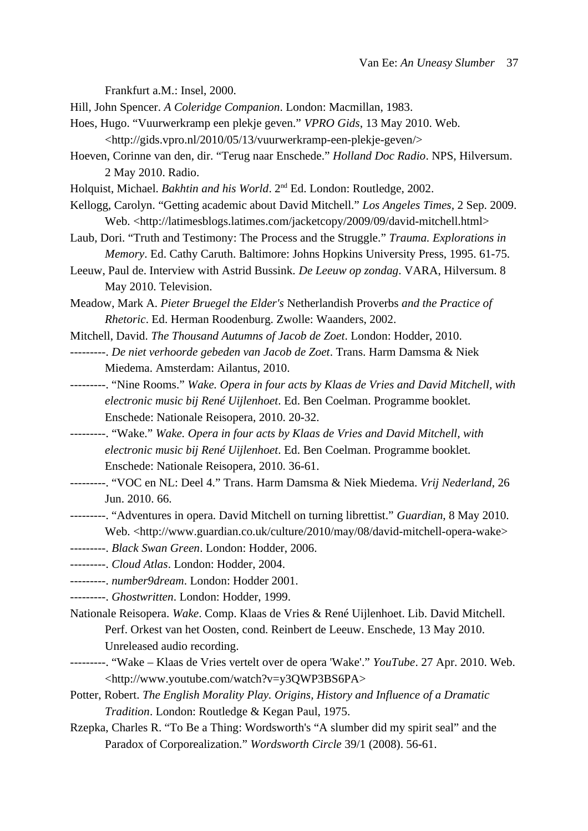Frankfurt a.M.: Insel, 2000.

- Hill, John Spencer. *A Coleridge Companion*. London: Macmillan, 1983.
- Hoes, Hugo. "Vuurwerkramp een plekje geven." *VPRO Gids*, 13 May 2010. Web. <http://gids.vpro.nl/2010/05/13/vuurwerkramp-een-plekje-geven/>
- Hoeven, Corinne van den, dir. "Terug naar Enschede." *Holland Doc Radio*. NPS, Hilversum. 2 May 2010. Radio.

Holquist, Michael. *Bakhtin and his World*. 2<sup>nd</sup> Ed. London: Routledge, 2002.

- Kellogg, Carolyn. "Getting academic about David Mitchell." *Los Angeles Times,* 2 Sep. 2009. Web. <http://latimesblogs.latimes.com/jacketcopy/2009/09/david-mitchell.html>
- Laub, Dori. "Truth and Testimony: The Process and the Struggle." *Trauma. Explorations in Memory*. Ed. Cathy Caruth. Baltimore: Johns Hopkins University Press, 1995. 61-75.
- Leeuw, Paul de. Interview with Astrid Bussink. *De Leeuw op zondag*. VARA, Hilversum. 8 May 2010. Television.
- Meadow, Mark A. *Pieter Bruegel the Elder's* Netherlandish Proverbs *and the Practice of Rhetoric*. Ed. Herman Roodenburg. Zwolle: Waanders, 2002.
- Mitchell, David. *The Thousand Autumns of Jacob de Zoet*. London: Hodder, 2010.
- ---------. *De niet verhoorde gebeden van Jacob de Zoet*. Trans. Harm Damsma & Niek Miedema. Amsterdam: Ailantus, 2010.
- ---------. "Nine Rooms." *Wake. Opera in four acts by Klaas de Vries and David Mitchell, with electronic music bij René Uijlenhoet*. Ed. Ben Coelman. Programme booklet. Enschede: Nationale Reisopera, 2010. 20-32.
- ---------. "Wake." *Wake. Opera in four acts by Klaas de Vries and David Mitchell, with electronic music bij René Uijlenhoet*. Ed. Ben Coelman. Programme booklet. Enschede: Nationale Reisopera, 2010. 36-61.
- ---------. "VOC en NL: Deel 4." Trans. Harm Damsma & Niek Miedema. *Vrij Nederland*, 26 Jun. 2010. 66.
- ---------. "Adventures in opera. David Mitchell on turning librettist." *Guardian*, 8 May 2010. Web. <http://www.guardian.co.uk/culture/2010/may/08/david-mitchell-opera-wake>
- ---------. *Black Swan Green*. London: Hodder, 2006.
- ---------. *Cloud Atlas*. London: Hodder, 2004.
- ---------. *number9dream*. London: Hodder 2001.
- ---------. *Ghostwritten*. London: Hodder, 1999.
- Nationale Reisopera. *Wake*. Comp. Klaas de Vries & René Uijlenhoet. Lib. David Mitchell. Perf. Orkest van het Oosten, cond. Reinbert de Leeuw. Enschede, 13 May 2010. Unreleased audio recording.
- ---------. "Wake Klaas de Vries vertelt over de opera 'Wake'." *YouTube*. 27 Apr. 2010. Web. <http://www.youtube.com/watch?v=y3QWP3BS6PA>
- Potter, Robert. *The English Morality Play. Origins, History and Influence of a Dramatic Tradition*. London: Routledge & Kegan Paul, 1975.
- Rzepka, Charles R. "To Be a Thing: Wordsworth's "A slumber did my spirit seal" and the Paradox of Corporealization." *Wordsworth Circle* 39/1 (2008). 56-61.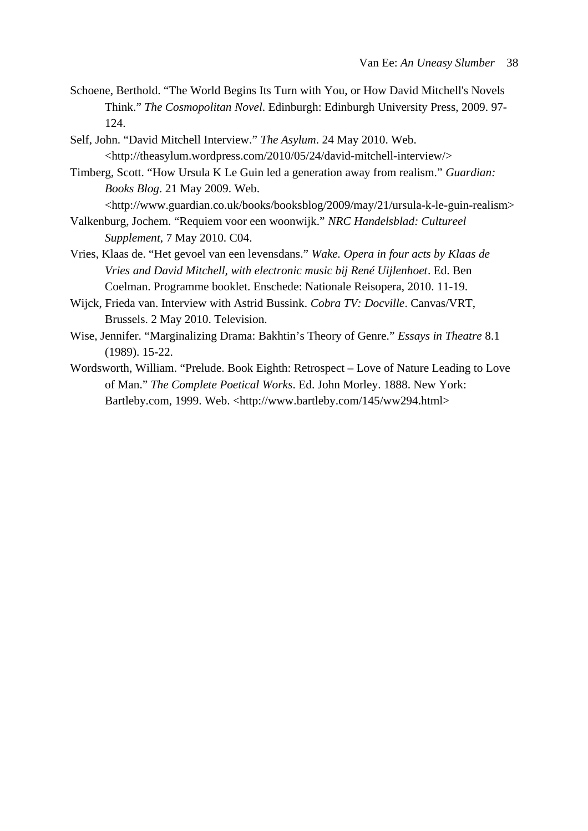- Schoene, Berthold. "The World Begins Its Turn with You, or How David Mitchell's Novels Think." *The Cosmopolitan Novel*. Edinburgh: Edinburgh University Press, 2009. 97- 124.
- Self, John. "David Mitchell Interview." *The Asylum*. 24 May 2010. Web. <http://theasylum.wordpress.com/2010/05/24/david-mitchell-interview/>
- Timberg, Scott. "How Ursula K Le Guin led a generation away from realism." *Guardian: Books Blog*. 21 May 2009. Web.

<http://www.guardian.co.uk/books/booksblog/2009/may/21/ursula-k-le-guin-realism>

- Valkenburg, Jochem. "Requiem voor een woonwijk." *NRC Handelsblad: Cultureel Supplement*, 7 May 2010. C04.
- Vries, Klaas de. "Het gevoel van een levensdans." *Wake. Opera in four acts by Klaas de Vries and David Mitchell, with electronic music bij René Uijlenhoet*. Ed. Ben Coelman. Programme booklet. Enschede: Nationale Reisopera, 2010. 11-19.
- Wijck, Frieda van. Interview with Astrid Bussink. *Cobra TV: Docville*. Canvas/VRT, Brussels. 2 May 2010. Television.
- Wise, Jennifer. "Marginalizing Drama: Bakhtin's Theory of Genre." *Essays in Theatre* 8.1 (1989). 15-22.
- Wordsworth, William. "Prelude. Book Eighth: Retrospect Love of Nature Leading to Love of Man." *The Complete Poetical Works*. Ed. John Morley. 1888. New York: Bartleby.com, 1999. Web. <http://www.bartleby.com/145/ww294.html>